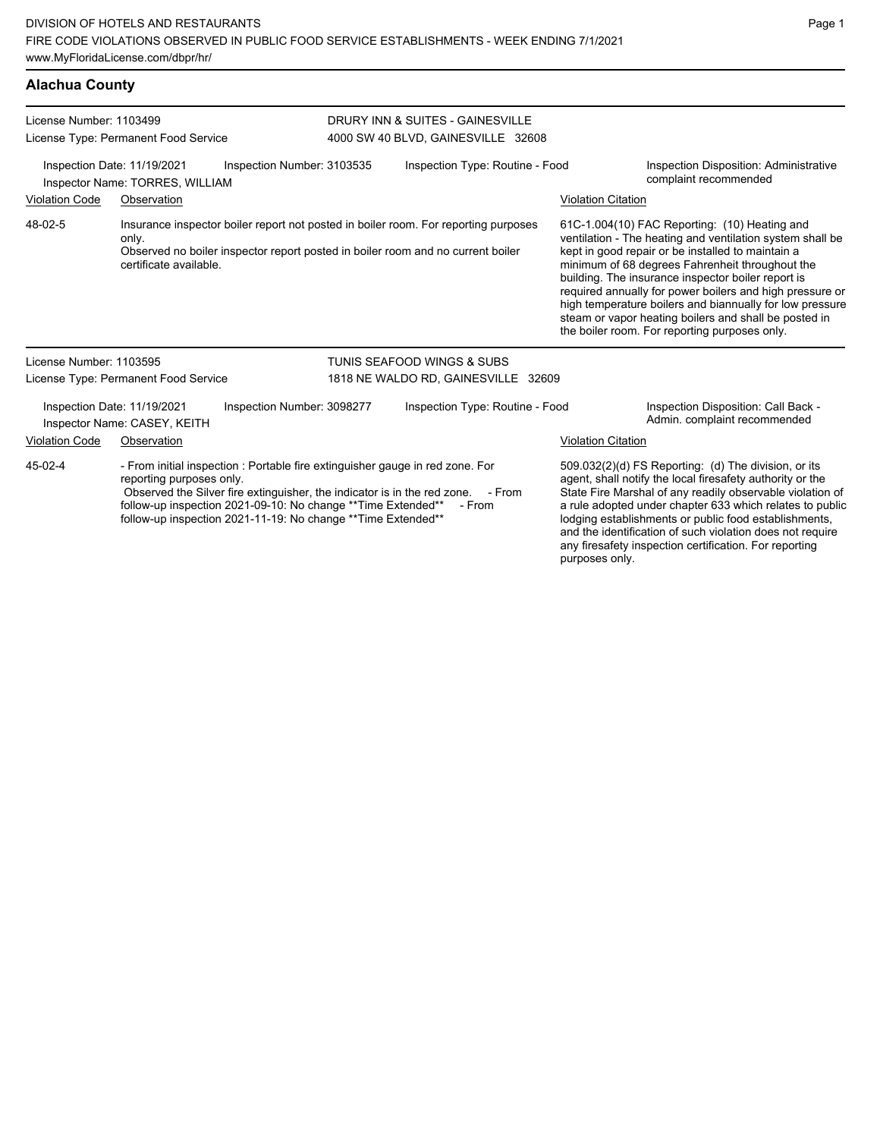| <b>Alachua County</b> |  |
|-----------------------|--|
|                       |  |

| License Number: 1103499                                                                                                                                                                                                                                                                                                                   | License Type: Permanent Food Service                        | DRURY INN & SUITES - GAINESVILLE<br>4000 SW 40 BLVD, GAINESVILLE 32608 |        |                                                                                                                                                                        |  |                                                                                                                                                                                                                                                                                                                                                                  |                                                                                                                                                                                                                                                                                                                                                                                                                                                                                                            |
|-------------------------------------------------------------------------------------------------------------------------------------------------------------------------------------------------------------------------------------------------------------------------------------------------------------------------------------------|-------------------------------------------------------------|------------------------------------------------------------------------|--------|------------------------------------------------------------------------------------------------------------------------------------------------------------------------|--|------------------------------------------------------------------------------------------------------------------------------------------------------------------------------------------------------------------------------------------------------------------------------------------------------------------------------------------------------------------|------------------------------------------------------------------------------------------------------------------------------------------------------------------------------------------------------------------------------------------------------------------------------------------------------------------------------------------------------------------------------------------------------------------------------------------------------------------------------------------------------------|
| Inspection Number: 3103535<br>Inspection Date: 11/19/2021<br>Inspector Name: TORRES, WILLIAM                                                                                                                                                                                                                                              |                                                             |                                                                        |        | Inspection Type: Routine - Food                                                                                                                                        |  |                                                                                                                                                                                                                                                                                                                                                                  | Inspection Disposition: Administrative<br>complaint recommended                                                                                                                                                                                                                                                                                                                                                                                                                                            |
| <b>Violation Code</b>                                                                                                                                                                                                                                                                                                                     | Observation                                                 |                                                                        |        |                                                                                                                                                                        |  | <b>Violation Citation</b>                                                                                                                                                                                                                                                                                                                                        |                                                                                                                                                                                                                                                                                                                                                                                                                                                                                                            |
| 48-02-5                                                                                                                                                                                                                                                                                                                                   | only.<br>certificate available.                             |                                                                        |        | Insurance inspector boiler report not posted in boiler room. For reporting purposes<br>Observed no boiler inspector report posted in boiler room and no current boiler |  |                                                                                                                                                                                                                                                                                                                                                                  | 61C-1.004(10) FAC Reporting: (10) Heating and<br>ventilation - The heating and ventilation system shall be<br>kept in good repair or be installed to maintain a<br>minimum of 68 degrees Fahrenheit throughout the<br>building. The insurance inspector boiler report is<br>required annually for power boilers and high pressure or<br>high temperature boilers and biannually for low pressure<br>steam or vapor heating boilers and shall be posted in<br>the boiler room. For reporting purposes only. |
| License Number: 1103595                                                                                                                                                                                                                                                                                                                   |                                                             |                                                                        |        | TUNIS SEAFOOD WINGS & SUBS                                                                                                                                             |  |                                                                                                                                                                                                                                                                                                                                                                  |                                                                                                                                                                                                                                                                                                                                                                                                                                                                                                            |
|                                                                                                                                                                                                                                                                                                                                           | License Type: Permanent Food Service                        |                                                                        |        | 1818 NE WALDO RD, GAINESVILLE 32609                                                                                                                                    |  |                                                                                                                                                                                                                                                                                                                                                                  |                                                                                                                                                                                                                                                                                                                                                                                                                                                                                                            |
|                                                                                                                                                                                                                                                                                                                                           | Inspection Date: 11/19/2021<br>Inspector Name: CASEY, KEITH | Inspection Number: 3098277                                             |        | Inspection Type: Routine - Food                                                                                                                                        |  |                                                                                                                                                                                                                                                                                                                                                                  | Inspection Disposition: Call Back -<br>Admin. complaint recommended                                                                                                                                                                                                                                                                                                                                                                                                                                        |
| <b>Violation Code</b>                                                                                                                                                                                                                                                                                                                     | Observation                                                 |                                                                        |        |                                                                                                                                                                        |  | <b>Violation Citation</b>                                                                                                                                                                                                                                                                                                                                        |                                                                                                                                                                                                                                                                                                                                                                                                                                                                                                            |
| 45-02-4<br>- From initial inspection : Portable fire extinguisher gauge in red zone. For<br>reporting purposes only.<br>Observed the Silver fire extinguisher, the indicator is in the red zone. - From<br>follow-up inspection 2021-09-10: No change ** Time Extended**<br>follow-up inspection 2021-11-19: No change ** Time Extended** |                                                             |                                                                        | - From |                                                                                                                                                                        |  | 509.032(2)(d) FS Reporting: (d) The division, or its<br>agent, shall notify the local firesafety authority or the<br>State Fire Marshal of any readily observable violation of<br>a rule adopted under chapter 633 which relates to public<br>lodging establishments or public food establishments,<br>and the identification of such violation does not require |                                                                                                                                                                                                                                                                                                                                                                                                                                                                                                            |

any firesafety inspection certification. For reporting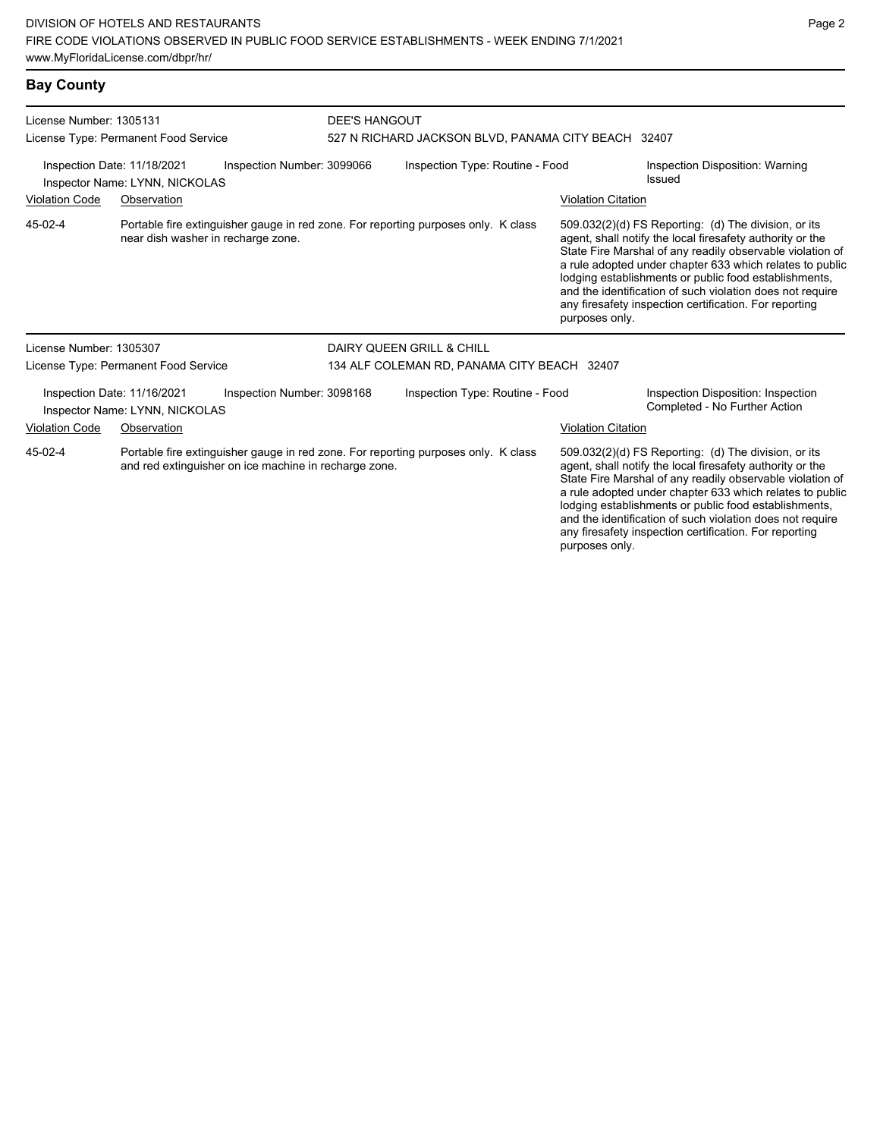## **Bay County**

| License Number: 1305131<br>License Type: Permanent Food Service |                                                               |                                                       | <b>DEE'S HANGOUT</b><br>527 N RICHARD JACKSON BLVD, PANAMA CITY BEACH 32407 |                                                                                    |                           |                                                                                                                                                                                                                                                                                                                                                                                                                            |
|-----------------------------------------------------------------|---------------------------------------------------------------|-------------------------------------------------------|-----------------------------------------------------------------------------|------------------------------------------------------------------------------------|---------------------------|----------------------------------------------------------------------------------------------------------------------------------------------------------------------------------------------------------------------------------------------------------------------------------------------------------------------------------------------------------------------------------------------------------------------------|
|                                                                 | Inspection Date: 11/18/2021<br>Inspector Name: LYNN, NICKOLAS | Inspection Number: 3099066                            |                                                                             | Inspection Type: Routine - Food                                                    |                           | Inspection Disposition: Warning<br>Issued                                                                                                                                                                                                                                                                                                                                                                                  |
| <b>Violation Code</b>                                           | Observation                                                   |                                                       |                                                                             |                                                                                    | <b>Violation Citation</b> |                                                                                                                                                                                                                                                                                                                                                                                                                            |
| 45-02-4                                                         |                                                               | near dish washer in recharge zone.                    |                                                                             | Portable fire extinguisher gauge in red zone. For reporting purposes only. K class | purposes only.            | 509.032(2)(d) FS Reporting: (d) The division, or its<br>agent, shall notify the local firesafety authority or the<br>State Fire Marshal of any readily observable violation of<br>a rule adopted under chapter 633 which relates to public<br>lodging establishments or public food establishments,<br>and the identification of such violation does not require<br>any firesafety inspection certification. For reporting |
| License Number: 1305307                                         |                                                               |                                                       |                                                                             | DAIRY QUEEN GRILL & CHILL                                                          |                           |                                                                                                                                                                                                                                                                                                                                                                                                                            |
|                                                                 | License Type: Permanent Food Service                          |                                                       | 134 ALF COLEMAN RD, PANAMA CITY BEACH 32407                                 |                                                                                    |                           |                                                                                                                                                                                                                                                                                                                                                                                                                            |
|                                                                 | Inspection Date: 11/16/2021<br>Inspector Name: LYNN, NICKOLAS | Inspection Number: 3098168                            |                                                                             | Inspection Type: Routine - Food                                                    |                           | Inspection Disposition: Inspection<br>Completed - No Further Action                                                                                                                                                                                                                                                                                                                                                        |
| <b>Violation Code</b>                                           | Observation                                                   |                                                       |                                                                             |                                                                                    | <b>Violation Citation</b> |                                                                                                                                                                                                                                                                                                                                                                                                                            |
| 45-02-4                                                         |                                                               | and red extinguisher on ice machine in recharge zone. |                                                                             | Portable fire extinguisher gauge in red zone. For reporting purposes only. K class |                           | 509.032(2)(d) FS Reporting: (d) The division, or its<br>agent, shall notify the local firesafety authority or the<br>State Fire Marshal of any readily observable violation of<br>a rule adopted under chapter 633 which relates to public<br>lodging establishments or public food establishments,<br>and the identification of such violation does not require                                                           |

any firesafety inspection certification. For reporting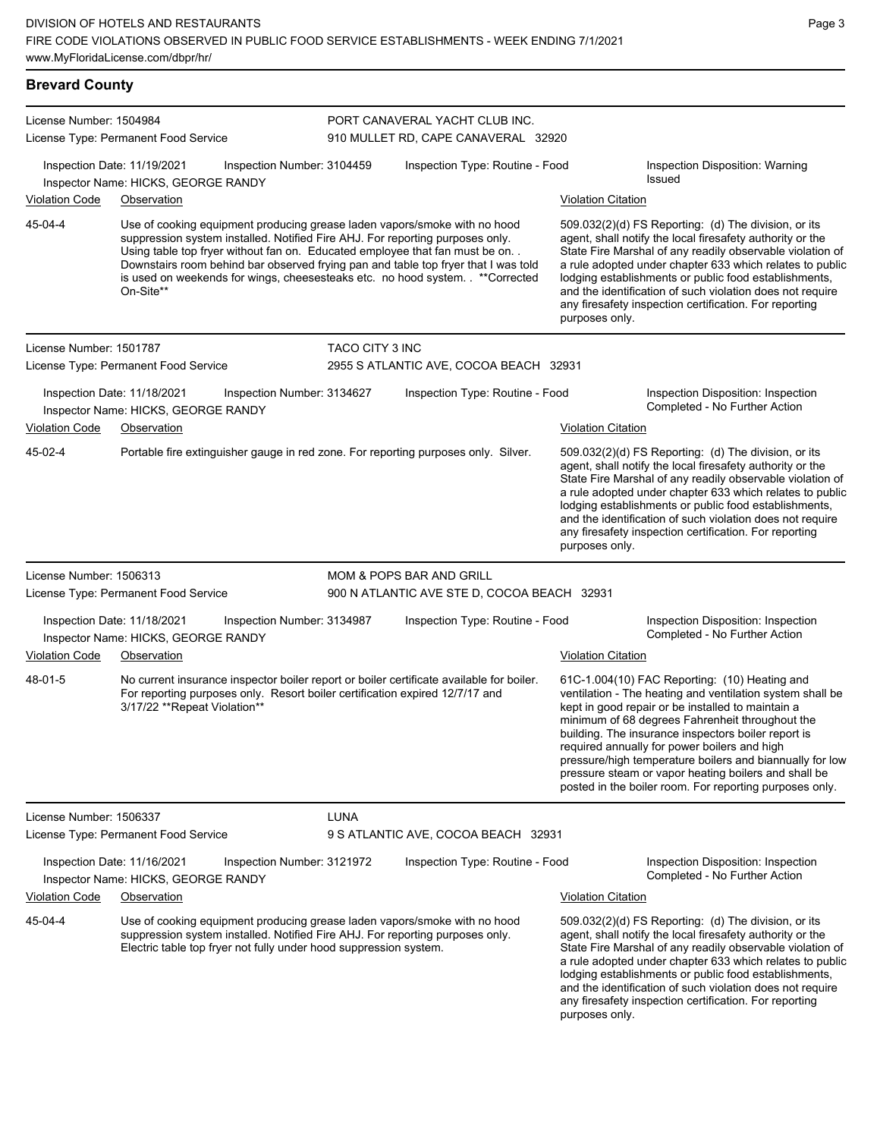| <b>Brevard County</b>                                                                                                                                                                                                                                                       |                                                                                                                                                                                                                                                                                                                                                                                                                                    |                        |                                                                                    |                                                                                                                                                                                                                                                                                                                                                                                                                                                                                                          |                                                                                                                                                                                                                                                                                                                                                                                                                            |  |  |
|-----------------------------------------------------------------------------------------------------------------------------------------------------------------------------------------------------------------------------------------------------------------------------|------------------------------------------------------------------------------------------------------------------------------------------------------------------------------------------------------------------------------------------------------------------------------------------------------------------------------------------------------------------------------------------------------------------------------------|------------------------|------------------------------------------------------------------------------------|----------------------------------------------------------------------------------------------------------------------------------------------------------------------------------------------------------------------------------------------------------------------------------------------------------------------------------------------------------------------------------------------------------------------------------------------------------------------------------------------------------|----------------------------------------------------------------------------------------------------------------------------------------------------------------------------------------------------------------------------------------------------------------------------------------------------------------------------------------------------------------------------------------------------------------------------|--|--|
| License Number: 1504984                                                                                                                                                                                                                                                     | License Type: Permanent Food Service                                                                                                                                                                                                                                                                                                                                                                                               |                        | PORT CANAVERAL YACHT CLUB INC.<br>910 MULLET RD, CAPE CANAVERAL 32920              |                                                                                                                                                                                                                                                                                                                                                                                                                                                                                                          |                                                                                                                                                                                                                                                                                                                                                                                                                            |  |  |
| <b>Violation Code</b>                                                                                                                                                                                                                                                       | Inspection Date: 11/19/2021<br>Inspection Number: 3104459<br>Inspector Name: HICKS, GEORGE RANDY<br>Observation                                                                                                                                                                                                                                                                                                                    |                        | Inspection Type: Routine - Food                                                    | <b>Violation Citation</b>                                                                                                                                                                                                                                                                                                                                                                                                                                                                                | Inspection Disposition: Warning<br><b>Issued</b>                                                                                                                                                                                                                                                                                                                                                                           |  |  |
| 45-04-4                                                                                                                                                                                                                                                                     | Use of cooking equipment producing grease laden vapors/smoke with no hood<br>suppression system installed. Notified Fire AHJ. For reporting purposes only.<br>Using table top fryer without fan on. Educated employee that fan must be on. .<br>Downstairs room behind bar observed frying pan and table top fryer that I was told<br>is used on weekends for wings, cheesesteaks etc. no hood system. . ** Corrected<br>On-Site** |                        |                                                                                    | purposes only.                                                                                                                                                                                                                                                                                                                                                                                                                                                                                           | 509.032(2)(d) FS Reporting: (d) The division, or its<br>agent, shall notify the local firesafety authority or the<br>State Fire Marshal of any readily observable violation of<br>a rule adopted under chapter 633 which relates to public<br>lodging establishments or public food establishments,<br>and the identification of such violation does not require<br>any firesafety inspection certification. For reporting |  |  |
| License Number: 1501787                                                                                                                                                                                                                                                     | License Type: Permanent Food Service                                                                                                                                                                                                                                                                                                                                                                                               | <b>TACO CITY 3 INC</b> | 2955 S ATLANTIC AVE, COCOA BEACH 32931                                             |                                                                                                                                                                                                                                                                                                                                                                                                                                                                                                          |                                                                                                                                                                                                                                                                                                                                                                                                                            |  |  |
| <b>Violation Code</b>                                                                                                                                                                                                                                                       | Inspection Date: 11/18/2021<br>Inspection Number: 3134627<br>Inspector Name: HICKS, GEORGE RANDY<br>Observation                                                                                                                                                                                                                                                                                                                    |                        | Inspection Type: Routine - Food                                                    | <b>Violation Citation</b>                                                                                                                                                                                                                                                                                                                                                                                                                                                                                | Inspection Disposition: Inspection<br>Completed - No Further Action                                                                                                                                                                                                                                                                                                                                                        |  |  |
| 45-02-4                                                                                                                                                                                                                                                                     | Portable fire extinguisher gauge in red zone. For reporting purposes only. Silver.                                                                                                                                                                                                                                                                                                                                                 |                        |                                                                                    | purposes only.                                                                                                                                                                                                                                                                                                                                                                                                                                                                                           | 509.032(2)(d) FS Reporting: (d) The division, or its<br>agent, shall notify the local firesafety authority or the<br>State Fire Marshal of any readily observable violation of<br>a rule adopted under chapter 633 which relates to public<br>lodging establishments or public food establishments,<br>and the identification of such violation does not require<br>any firesafety inspection certification. For reporting |  |  |
| License Number: 1506313                                                                                                                                                                                                                                                     | License Type: Permanent Food Service                                                                                                                                                                                                                                                                                                                                                                                               |                        | <b>MOM &amp; POPS BAR AND GRILL</b><br>900 N ATLANTIC AVE STE D, COCOA BEACH 32931 |                                                                                                                                                                                                                                                                                                                                                                                                                                                                                                          |                                                                                                                                                                                                                                                                                                                                                                                                                            |  |  |
| <b>Violation Code</b>                                                                                                                                                                                                                                                       | Inspection Date: 11/18/2021<br>Inspection Number: 3134987<br>Inspector Name: HICKS, GEORGE RANDY<br>Observation                                                                                                                                                                                                                                                                                                                    |                        | Inspection Type: Routine - Food                                                    | <b>Violation Citation</b>                                                                                                                                                                                                                                                                                                                                                                                                                                                                                | Inspection Disposition: Inspection<br>Completed - No Further Action                                                                                                                                                                                                                                                                                                                                                        |  |  |
| 48-01-5                                                                                                                                                                                                                                                                     | No current insurance inspector boiler report or boiler certificate available for boiler.<br>For reporting purposes only. Resort boiler certification expired 12/7/17 and<br>3/17/22 ** Repeat Violation**                                                                                                                                                                                                                          |                        |                                                                                    | 61C-1.004(10) FAC Reporting: (10) Heating and<br>ventilation - The heating and ventilation system shall be<br>kept in good repair or be installed to maintain a<br>minimum of 68 degrees Fahrenheit throughout the<br>building. The insurance inspectors boiler report is<br>required annually for power boilers and high<br>pressure/high temperature boilers and biannually for low<br>pressure steam or vapor heating boilers and shall be<br>posted in the boiler room. For reporting purposes only. |                                                                                                                                                                                                                                                                                                                                                                                                                            |  |  |
| License Number: 1506337                                                                                                                                                                                                                                                     | License Type: Permanent Food Service                                                                                                                                                                                                                                                                                                                                                                                               | LUNA                   | 9 S ATLANTIC AVE, COCOA BEACH 32931                                                |                                                                                                                                                                                                                                                                                                                                                                                                                                                                                                          |                                                                                                                                                                                                                                                                                                                                                                                                                            |  |  |
|                                                                                                                                                                                                                                                                             | Inspection Date: 11/16/2021<br>Inspection Number: 3121972<br>Inspector Name: HICKS, GEORGE RANDY                                                                                                                                                                                                                                                                                                                                   |                        | Inspection Type: Routine - Food                                                    | <b>Violation Citation</b>                                                                                                                                                                                                                                                                                                                                                                                                                                                                                | Inspection Disposition: Inspection<br>Completed - No Further Action                                                                                                                                                                                                                                                                                                                                                        |  |  |
| Violation Code<br>Observation<br>45-04-4<br>Use of cooking equipment producing grease laden vapors/smoke with no hood<br>suppression system installed. Notified Fire AHJ. For reporting purposes only.<br>Electric table top fryer not fully under hood suppression system. |                                                                                                                                                                                                                                                                                                                                                                                                                                    |                        |                                                                                    |                                                                                                                                                                                                                                                                                                                                                                                                                                                                                                          | 509.032(2)(d) FS Reporting: (d) The division, or its<br>agent, shall notify the local firesafety authority or the<br>State Fire Marshal of any readily observable violation of<br>a rule adopted under chapter 633 which relates to public<br>lodging establishments or public food establishments,<br>and the identification of such violation does not require                                                           |  |  |

any firesafety inspection certification. For reporting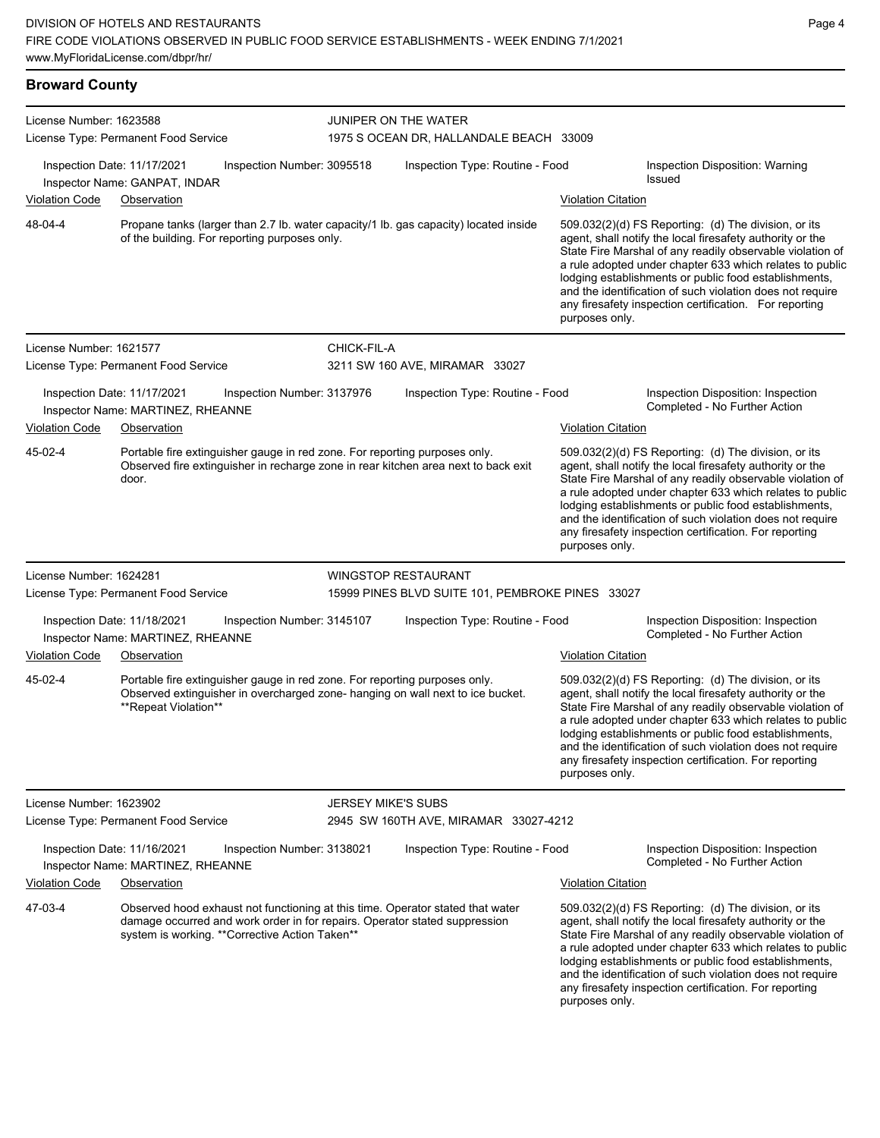| <b>Broward County</b>   |                                                                                                                                                                                                                 |             |                                                                 |                           |                                                                                                                                                                                                                                                                                                                                                                                                                            |  |  |
|-------------------------|-----------------------------------------------------------------------------------------------------------------------------------------------------------------------------------------------------------------|-------------|-----------------------------------------------------------------|---------------------------|----------------------------------------------------------------------------------------------------------------------------------------------------------------------------------------------------------------------------------------------------------------------------------------------------------------------------------------------------------------------------------------------------------------------------|--|--|
| License Number: 1623588 | License Type: Permanent Food Service                                                                                                                                                                            |             | JUNIPER ON THE WATER<br>1975 S OCEAN DR, HALLANDALE BEACH 33009 |                           |                                                                                                                                                                                                                                                                                                                                                                                                                            |  |  |
|                         | Inspection Date: 11/17/2021<br>Inspection Number: 3095518<br>Inspector Name: GANPAT, INDAR                                                                                                                      |             | Inspection Type: Routine - Food                                 |                           | Inspection Disposition: Warning<br><b>Issued</b>                                                                                                                                                                                                                                                                                                                                                                           |  |  |
| <b>Violation Code</b>   | Observation                                                                                                                                                                                                     |             |                                                                 | <b>Violation Citation</b> |                                                                                                                                                                                                                                                                                                                                                                                                                            |  |  |
| 48-04-4                 | Propane tanks (larger than 2.7 lb. water capacity/1 lb. gas capacity) located inside<br>of the building. For reporting purposes only.                                                                           |             |                                                                 | purposes only.            | 509.032(2)(d) FS Reporting: (d) The division, or its<br>agent, shall notify the local firesafety authority or the<br>State Fire Marshal of any readily observable violation of<br>a rule adopted under chapter 633 which relates to public<br>lodging establishments or public food establishments,<br>and the identification of such violation does not require<br>any firesafety inspection certification. For reporting |  |  |
| License Number: 1621577 |                                                                                                                                                                                                                 | CHICK-FIL-A |                                                                 |                           |                                                                                                                                                                                                                                                                                                                                                                                                                            |  |  |
|                         | License Type: Permanent Food Service                                                                                                                                                                            |             | 3211 SW 160 AVE, MIRAMAR 33027                                  |                           |                                                                                                                                                                                                                                                                                                                                                                                                                            |  |  |
|                         | Inspection Date: 11/17/2021<br>Inspection Number: 3137976<br>Inspector Name: MARTINEZ, RHEANNE                                                                                                                  |             | Inspection Type: Routine - Food                                 |                           | Inspection Disposition: Inspection<br>Completed - No Further Action                                                                                                                                                                                                                                                                                                                                                        |  |  |
| <b>Violation Code</b>   | Observation                                                                                                                                                                                                     |             |                                                                 | <b>Violation Citation</b> |                                                                                                                                                                                                                                                                                                                                                                                                                            |  |  |
| 45-02-4                 | Portable fire extinguisher gauge in red zone. For reporting purposes only.<br>Observed fire extinguisher in recharge zone in rear kitchen area next to back exit<br>door.                                       |             |                                                                 | purposes only.            | 509.032(2)(d) FS Reporting: (d) The division, or its<br>agent, shall notify the local firesafety authority or the<br>State Fire Marshal of any readily observable violation of<br>a rule adopted under chapter 633 which relates to public<br>lodging establishments or public food establishments,<br>and the identification of such violation does not require<br>any firesafety inspection certification. For reporting |  |  |
| License Number: 1624281 |                                                                                                                                                                                                                 |             | <b>WINGSTOP RESTAURANT</b>                                      |                           |                                                                                                                                                                                                                                                                                                                                                                                                                            |  |  |
|                         | License Type: Permanent Food Service                                                                                                                                                                            |             | 15999 PINES BLVD SUITE 101, PEMBROKE PINES 33027                |                           |                                                                                                                                                                                                                                                                                                                                                                                                                            |  |  |
| <b>Violation Code</b>   | Inspection Date: 11/18/2021<br>Inspection Number: 3145107<br>Inspector Name: MARTINEZ, RHEANNE<br>Observation                                                                                                   |             | Inspection Type: Routine - Food                                 | <b>Violation Citation</b> | Inspection Disposition: Inspection<br>Completed - No Further Action                                                                                                                                                                                                                                                                                                                                                        |  |  |
| 45-02-4                 | Portable fire extinguisher gauge in red zone. For reporting purposes only.<br>Observed extinguisher in overcharged zone- hanging on wall next to ice bucket.<br>**Repeat Violation**                            |             |                                                                 | purposes only.            | 509.032(2)(d) FS Reporting: (d) The division, or its<br>agent, shall notify the local firesafety authority or the<br>State Fire Marshal of any readily observable violation of<br>a rule adopted under chapter 633 which relates to public<br>lodging establishments or public food establishments,<br>and the identification of such violation does not require<br>any firesafety inspection certification. For reporting |  |  |
| License Number: 1623902 |                                                                                                                                                                                                                 |             | <b>JERSEY MIKE'S SUBS</b>                                       |                           |                                                                                                                                                                                                                                                                                                                                                                                                                            |  |  |
|                         | License Type: Permanent Food Service                                                                                                                                                                            |             | 2945 SW 160TH AVE, MIRAMAR 33027-4212                           |                           |                                                                                                                                                                                                                                                                                                                                                                                                                            |  |  |
|                         | Inspection Date: 11/16/2021<br>Inspection Number: 3138021<br>Inspector Name: MARTINEZ, RHEANNE                                                                                                                  |             | Inspection Type: Routine - Food                                 |                           | Inspection Disposition: Inspection<br>Completed - No Further Action                                                                                                                                                                                                                                                                                                                                                        |  |  |
| <b>Violation Code</b>   | Observation                                                                                                                                                                                                     |             |                                                                 | <b>Violation Citation</b> |                                                                                                                                                                                                                                                                                                                                                                                                                            |  |  |
| 47-03-4                 | Observed hood exhaust not functioning at this time. Operator stated that water<br>damage occurred and work order in for repairs. Operator stated suppression<br>system is working. ** Corrective Action Taken** |             |                                                                 |                           | 509.032(2)(d) FS Reporting: (d) The division, or its<br>agent, shall notify the local firesafety authority or the<br>State Fire Marshal of any readily observable violation of                                                                                                                                                                                                                                             |  |  |

a rule adopted under chapter 633 which relates to public lodging establishments or public food establishments, and the identification of such violation does not require any firesafety inspection certification. For reporting purposes only.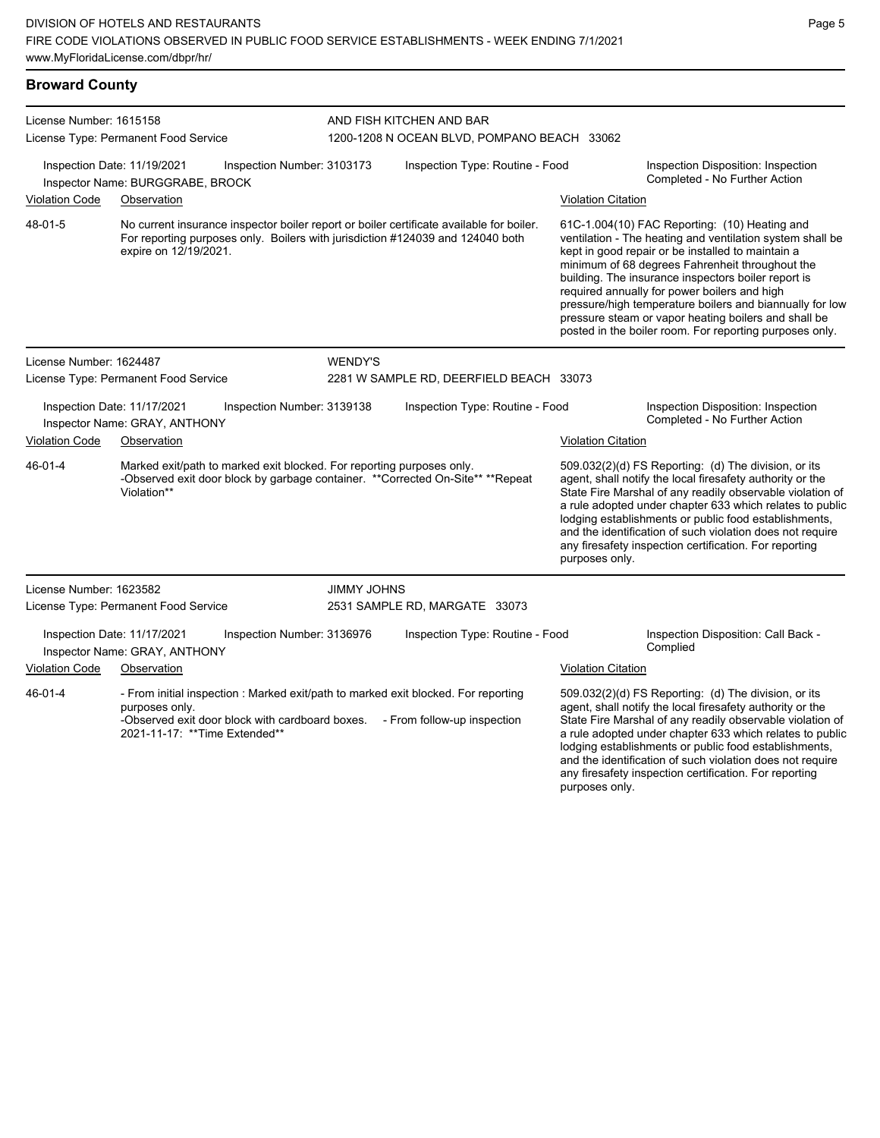| <b>Broward County</b>                                                                      |                                                                                                                                                                                                     |                    |                                                                         |                           |                                                                                                                                                                                                                                                                                                                                                                                                                                                                                                          |  |
|--------------------------------------------------------------------------------------------|-----------------------------------------------------------------------------------------------------------------------------------------------------------------------------------------------------|--------------------|-------------------------------------------------------------------------|---------------------------|----------------------------------------------------------------------------------------------------------------------------------------------------------------------------------------------------------------------------------------------------------------------------------------------------------------------------------------------------------------------------------------------------------------------------------------------------------------------------------------------------------|--|
| License Number: 1615158<br>License Type: Permanent Food Service                            |                                                                                                                                                                                                     |                    | AND FISH KITCHEN AND BAR<br>1200-1208 N OCEAN BLVD, POMPANO BEACH 33062 |                           |                                                                                                                                                                                                                                                                                                                                                                                                                                                                                                          |  |
|                                                                                            | Inspection Date: 11/19/2021<br>Inspection Number: 3103173<br>Inspector Name: BURGGRABE, BROCK                                                                                                       |                    | Inspection Type: Routine - Food                                         |                           | Inspection Disposition: Inspection<br>Completed - No Further Action                                                                                                                                                                                                                                                                                                                                                                                                                                      |  |
| <b>Violation Code</b>                                                                      | Observation                                                                                                                                                                                         |                    |                                                                         | <b>Violation Citation</b> |                                                                                                                                                                                                                                                                                                                                                                                                                                                                                                          |  |
| 48-01-5                                                                                    | No current insurance inspector boiler report or boiler certificate available for boiler.<br>For reporting purposes only. Boilers with jurisdiction #124039 and 124040 both<br>expire on 12/19/2021. |                    |                                                                         |                           | 61C-1.004(10) FAC Reporting: (10) Heating and<br>ventilation - The heating and ventilation system shall be<br>kept in good repair or be installed to maintain a<br>minimum of 68 degrees Fahrenheit throughout the<br>building. The insurance inspectors boiler report is<br>required annually for power boilers and high<br>pressure/high temperature boilers and biannually for low<br>pressure steam or vapor heating boilers and shall be<br>posted in the boiler room. For reporting purposes only. |  |
| License Number: 1624487                                                                    |                                                                                                                                                                                                     | <b>WENDY'S</b>     |                                                                         |                           |                                                                                                                                                                                                                                                                                                                                                                                                                                                                                                          |  |
|                                                                                            | License Type: Permanent Food Service                                                                                                                                                                |                    | 2281 W SAMPLE RD, DEERFIELD BEACH 33073                                 |                           |                                                                                                                                                                                                                                                                                                                                                                                                                                                                                                          |  |
| Inspection Date: 11/17/2021<br>Inspection Number: 3139138<br>Inspector Name: GRAY, ANTHONY |                                                                                                                                                                                                     |                    | Inspection Type: Routine - Food                                         |                           | Inspection Disposition: Inspection<br>Completed - No Further Action                                                                                                                                                                                                                                                                                                                                                                                                                                      |  |
| <b>Violation Code</b>                                                                      | Observation                                                                                                                                                                                         |                    |                                                                         | <b>Violation Citation</b> |                                                                                                                                                                                                                                                                                                                                                                                                                                                                                                          |  |
| 46-01-4                                                                                    | Marked exit/path to marked exit blocked. For reporting purposes only.<br>-Observed exit door block by garbage container. **Corrected On-Site** **Repeat<br>Violation**                              |                    |                                                                         | purposes only.            | 509.032(2)(d) FS Reporting: (d) The division, or its<br>agent, shall notify the local firesafety authority or the<br>State Fire Marshal of any readily observable violation of<br>a rule adopted under chapter 633 which relates to public<br>lodging establishments or public food establishments,<br>and the identification of such violation does not require<br>any firesafety inspection certification. For reporting                                                                               |  |
| License Number: 1623582                                                                    |                                                                                                                                                                                                     | <b>JIMMY JOHNS</b> |                                                                         |                           |                                                                                                                                                                                                                                                                                                                                                                                                                                                                                                          |  |
|                                                                                            | License Type: Permanent Food Service                                                                                                                                                                |                    | 2531 SAMPLE RD, MARGATE 33073                                           |                           |                                                                                                                                                                                                                                                                                                                                                                                                                                                                                                          |  |
|                                                                                            | Inspection Date: 11/17/2021<br>Inspection Number: 3136976<br>Inspector Name: GRAY, ANTHONY                                                                                                          |                    | Inspection Type: Routine - Food                                         |                           | Inspection Disposition: Call Back -<br>Complied                                                                                                                                                                                                                                                                                                                                                                                                                                                          |  |
| <b>Violation Code</b>                                                                      | Observation                                                                                                                                                                                         |                    |                                                                         | <b>Violation Citation</b> |                                                                                                                                                                                                                                                                                                                                                                                                                                                                                                          |  |
| $46 - 01 - 4$                                                                              | - From initial inspection : Marked exit/path to marked exit blocked. For reporting<br>purposes only.<br>-Observed exit door block with cardboard boxes.<br>2021-11-17: **Time Extended**            |                    | - From follow-up inspection                                             |                           | 509.032(2)(d) FS Reporting: (d) The division, or its<br>agent, shall notify the local firesafety authority or the<br>State Fire Marshal of any readily observable violation of<br>a rule adopted under chapter 633 which relates to public<br>lodging establishments or public food establishments,<br>and the identification of such violation does not require                                                                                                                                         |  |

Page 5

any firesafety inspection certification. For reporting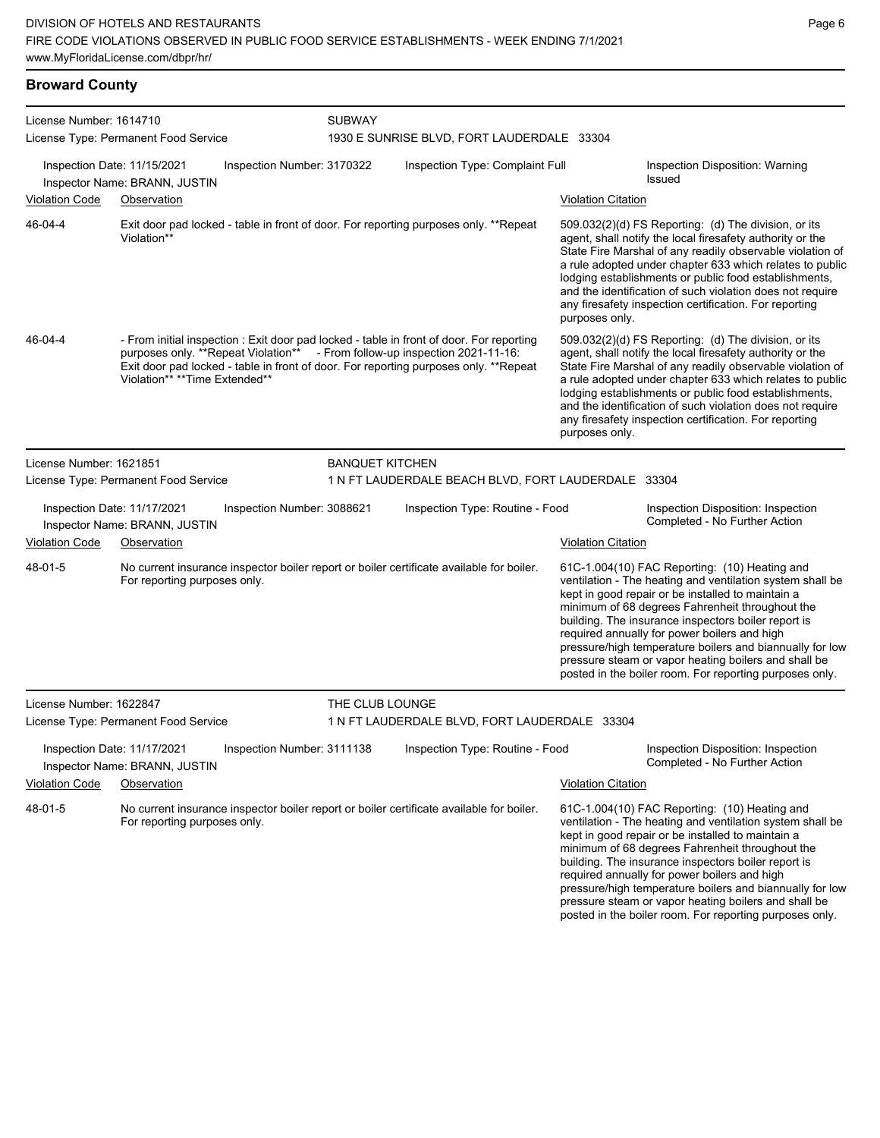### **Broward County**

| License Number: 1614710              |                                                              | <b>SUBWAY</b>              |                                            |                                                                                                                                                                                                                                                                 |                           |                                                                                                                                                                                                                                                                                                                                                                                                                                                                                                          |  |  |
|--------------------------------------|--------------------------------------------------------------|----------------------------|--------------------------------------------|-----------------------------------------------------------------------------------------------------------------------------------------------------------------------------------------------------------------------------------------------------------------|---------------------------|----------------------------------------------------------------------------------------------------------------------------------------------------------------------------------------------------------------------------------------------------------------------------------------------------------------------------------------------------------------------------------------------------------------------------------------------------------------------------------------------------------|--|--|
| License Type: Permanent Food Service |                                                              |                            | 1930 E SUNRISE BLVD, FORT LAUDERDALE 33304 |                                                                                                                                                                                                                                                                 |                           |                                                                                                                                                                                                                                                                                                                                                                                                                                                                                                          |  |  |
|                                      | Inspection Date: 11/15/2021<br>Inspector Name: BRANN, JUSTIN | Inspection Number: 3170322 |                                            | Inspection Type: Complaint Full                                                                                                                                                                                                                                 |                           | Inspection Disposition: Warning<br>Issued                                                                                                                                                                                                                                                                                                                                                                                                                                                                |  |  |
| <b>Violation Code</b>                | Observation                                                  |                            |                                            |                                                                                                                                                                                                                                                                 | <b>Violation Citation</b> |                                                                                                                                                                                                                                                                                                                                                                                                                                                                                                          |  |  |
| 46-04-4                              | Violation**                                                  |                            |                                            | Exit door pad locked - table in front of door. For reporting purposes only. **Repeat                                                                                                                                                                            | purposes only.            | 509.032(2)(d) FS Reporting: (d) The division, or its<br>agent, shall notify the local firesafety authority or the<br>State Fire Marshal of any readily observable violation of<br>a rule adopted under chapter 633 which relates to public<br>lodging establishments or public food establishments,<br>and the identification of such violation does not require<br>any firesafety inspection certification. For reporting                                                                               |  |  |
| 46-04-4                              | Violation** **Time Extended**                                |                            |                                            | - From initial inspection : Exit door pad locked - table in front of door. For reporting<br>purposes only. **Repeat Violation** - From follow-up inspection 2021-11-16:<br>Exit door pad locked - table in front of door. For reporting purposes only. **Repeat | purposes only.            | 509.032(2)(d) FS Reporting: (d) The division, or its<br>agent, shall notify the local firesafety authority or the<br>State Fire Marshal of any readily observable violation of<br>a rule adopted under chapter 633 which relates to public<br>lodging establishments or public food establishments,<br>and the identification of such violation does not require<br>any firesafety inspection certification. For reporting                                                                               |  |  |
| License Number: 1621851              |                                                              |                            | <b>BANQUET KITCHEN</b>                     |                                                                                                                                                                                                                                                                 |                           |                                                                                                                                                                                                                                                                                                                                                                                                                                                                                                          |  |  |
|                                      | License Type: Permanent Food Service                         |                            |                                            | 1 N FT LAUDERDALE BEACH BLVD, FORT LAUDERDALE 33304                                                                                                                                                                                                             |                           |                                                                                                                                                                                                                                                                                                                                                                                                                                                                                                          |  |  |
|                                      | Inspection Date: 11/17/2021<br>Inspector Name: BRANN, JUSTIN | Inspection Number: 3088621 |                                            | Inspection Type: Routine - Food                                                                                                                                                                                                                                 |                           | Inspection Disposition: Inspection<br>Completed - No Further Action                                                                                                                                                                                                                                                                                                                                                                                                                                      |  |  |
| <b>Violation Code</b>                | Observation                                                  |                            |                                            |                                                                                                                                                                                                                                                                 | <b>Violation Citation</b> |                                                                                                                                                                                                                                                                                                                                                                                                                                                                                                          |  |  |
| 48-01-5                              | For reporting purposes only.                                 |                            |                                            | No current insurance inspector boiler report or boiler certificate available for boiler.                                                                                                                                                                        |                           | 61C-1.004(10) FAC Reporting: (10) Heating and<br>ventilation - The heating and ventilation system shall be<br>kept in good repair or be installed to maintain a<br>minimum of 68 degrees Fahrenheit throughout the<br>building. The insurance inspectors boiler report is<br>required annually for power boilers and high<br>pressure/high temperature boilers and biannually for low<br>pressure steam or vapor heating boilers and shall be<br>posted in the boiler room. For reporting purposes only. |  |  |
| License Number: 1622847              |                                                              |                            | THE CLUB LOUNGE                            |                                                                                                                                                                                                                                                                 |                           |                                                                                                                                                                                                                                                                                                                                                                                                                                                                                                          |  |  |
|                                      | License Type: Permanent Food Service                         |                            |                                            | 1 N FT LAUDERDALE BLVD, FORT LAUDERDALE 33304                                                                                                                                                                                                                   |                           |                                                                                                                                                                                                                                                                                                                                                                                                                                                                                                          |  |  |
|                                      | Inspection Date: 11/17/2021<br>Inspector Name: BRANN, JUSTIN | Inspection Number: 3111138 |                                            | Inspection Type: Routine - Food                                                                                                                                                                                                                                 |                           | Inspection Disposition: Inspection<br>Completed - No Further Action                                                                                                                                                                                                                                                                                                                                                                                                                                      |  |  |
| <b>Violation Code</b>                | Observation                                                  |                            |                                            |                                                                                                                                                                                                                                                                 | <b>Violation Citation</b> |                                                                                                                                                                                                                                                                                                                                                                                                                                                                                                          |  |  |
| 48-01-5                              | For reporting purposes only.                                 |                            |                                            | No current insurance inspector boiler report or boiler certificate available for boiler.                                                                                                                                                                        |                           | 61C-1.004(10) FAC Reporting: (10) Heating and<br>ventilation - The heating and ventilation system shall be<br>kept in good repair or be installed to maintain a<br>minimum of 68 degrees Fahrenheit throughout the<br>building. The insurance inspectors boiler report is<br>required annually for power boilers and high<br>pressure/high temperature boilers and biannually for low<br>pressure steam or vapor heating boilers and shall be<br>posted in the boiler room. For reporting purposes only. |  |  |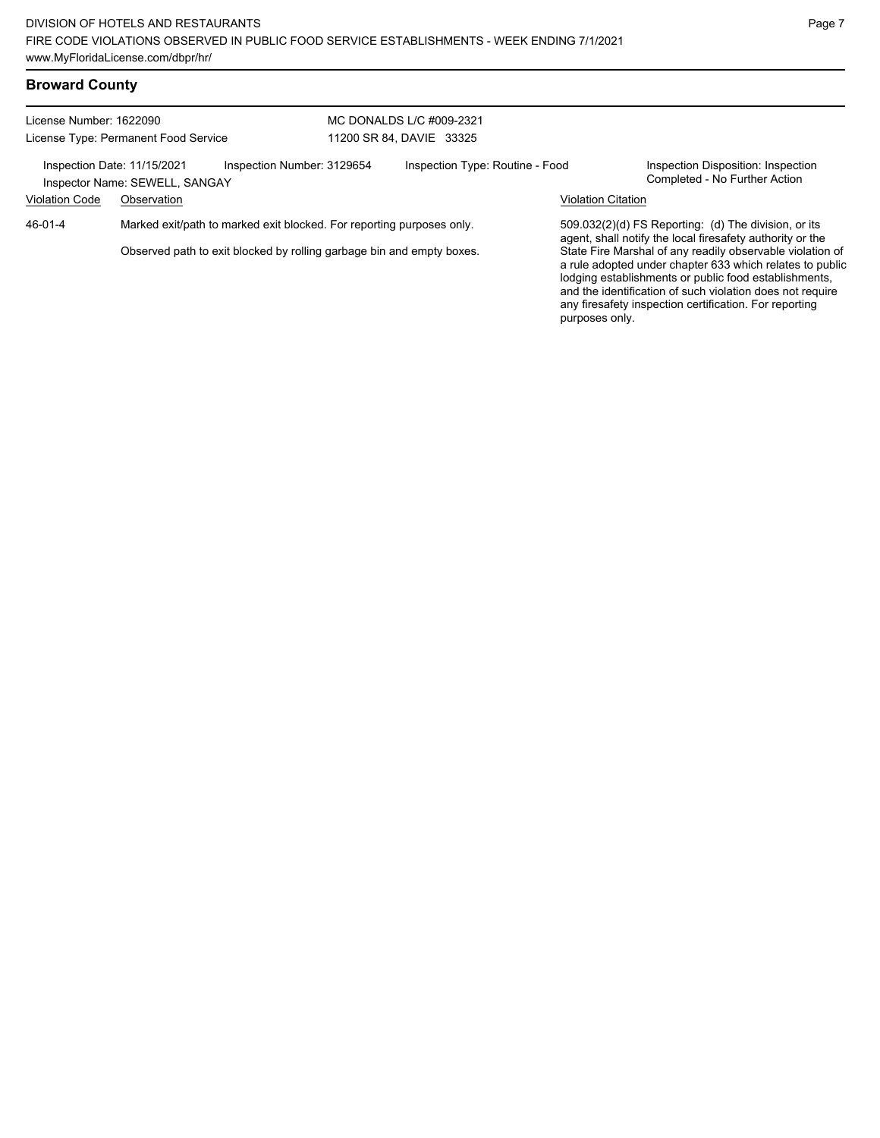| License Number: 1622090              |                                                               |                                                                       |  | MC DONALDS L/C #009-2321        |                           |                                                                                                                                                                                                                                                                                                       |
|--------------------------------------|---------------------------------------------------------------|-----------------------------------------------------------------------|--|---------------------------------|---------------------------|-------------------------------------------------------------------------------------------------------------------------------------------------------------------------------------------------------------------------------------------------------------------------------------------------------|
| License Type: Permanent Food Service |                                                               | 11200 SR 84, DAVIE 33325                                              |  |                                 |                           |                                                                                                                                                                                                                                                                                                       |
|                                      | Inspection Date: 11/15/2021<br>Inspector Name: SEWELL, SANGAY | Inspection Number: 3129654                                            |  | Inspection Type: Routine - Food |                           | Inspection Disposition: Inspection<br>Completed - No Further Action                                                                                                                                                                                                                                   |
| <b>Violation Code</b>                | Observation                                                   |                                                                       |  |                                 | <b>Violation Citation</b> |                                                                                                                                                                                                                                                                                                       |
| 46-01-4                              |                                                               | Marked exit/path to marked exit blocked. For reporting purposes only. |  |                                 |                           | 509.032(2)(d) FS Reporting: (d) The division, or its<br>agent, shall notify the local firesafety authority or the                                                                                                                                                                                     |
|                                      |                                                               | Observed path to exit blocked by rolling garbage bin and empty boxes. |  |                                 | purposes only.            | State Fire Marshal of any readily observable violation of<br>a rule adopted under chapter 633 which relates to public<br>lodging establishments or public food establishments,<br>and the identification of such violation does not require<br>any firesafety inspection certification. For reporting |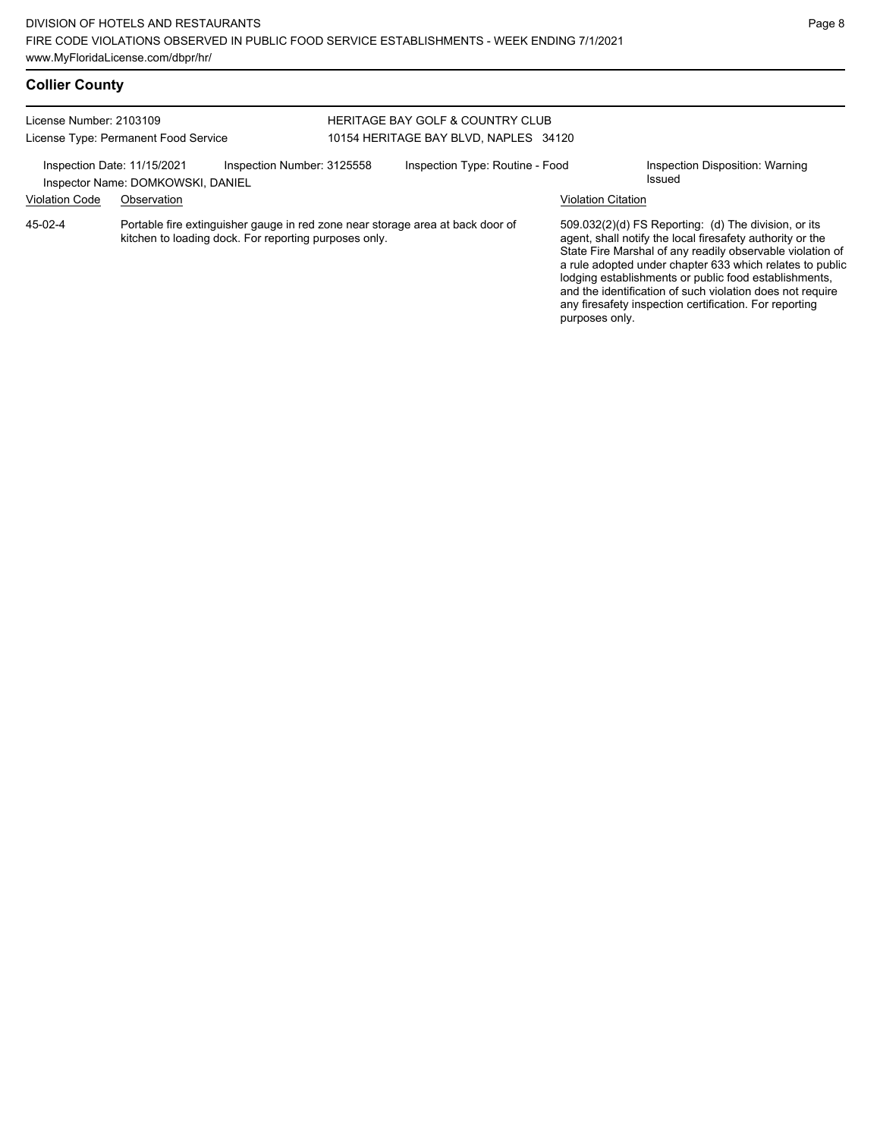any firesafety inspection certification. For reporting

purposes only.

# **Collier County**

#### License Number: 2103109 License Type: Permanent Food Service HERITAGE BAY GOLF & COUNTRY CLUB 10154 HERITAGE BAY BLVD, NAPLES 34120 Inspection Date: 11/15/2021 Inspection Number: 3125558 Inspection Type: Routine - Food Inspection Disposition: Warning<br>Inspector Name: DOMKOWSKI, DANIFI Inspector Name: DOMKOWSKI, DANIEL Violation Code Observation Violation Citation Portable fire extinguisher gauge in red zone near storage area at back door of kitchen to loading dock. For reporting purposes only. 509.032(2)(d) FS Reporting: (d) The division, or its agent, shall notify the local firesafety authority or the State Fire Marshal of any readily observable violation of a rule adopted under chapter 633 which relates to public lodging establishments or public food establishments, and the identification of such violation does not require 45-02-4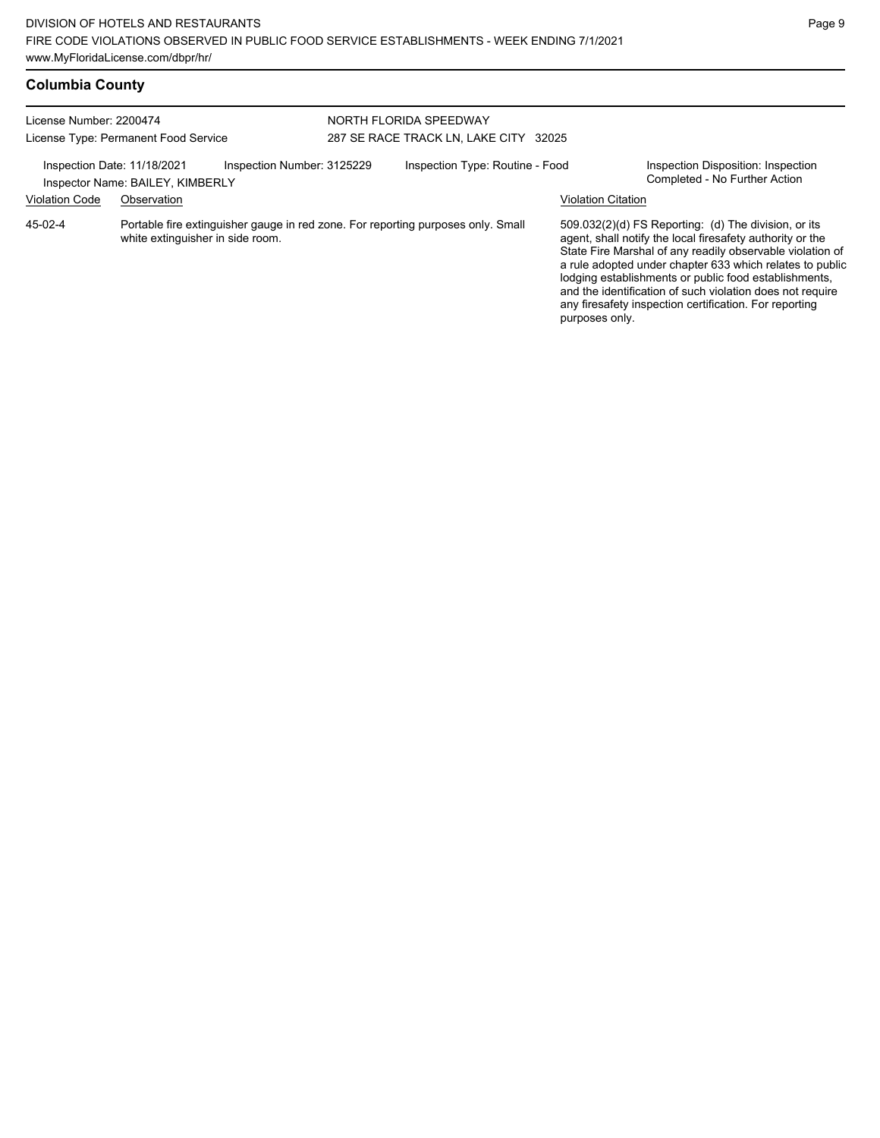| <b>Columbia County</b> |  |
|------------------------|--|
|------------------------|--|

| License Number: 2200474                              | License Type: Permanent Food Service                                                                                 | NORTH FLORIDA SPEEDWAY<br>287 SE RACE TRACK LN. LAKE CITY 32025 |                           |                                                                                                                                                                                                                                                                                                                                                                                                                            |
|------------------------------------------------------|----------------------------------------------------------------------------------------------------------------------|-----------------------------------------------------------------|---------------------------|----------------------------------------------------------------------------------------------------------------------------------------------------------------------------------------------------------------------------------------------------------------------------------------------------------------------------------------------------------------------------------------------------------------------------|
| Inspection Date: 11/18/2021<br><b>Violation Code</b> | Inspection Number: 3125229<br>Inspector Name: BAILEY, KIMBERLY<br>Observation                                        | Inspection Type: Routine - Food                                 | <b>Violation Citation</b> | Inspection Disposition: Inspection<br>Completed - No Further Action                                                                                                                                                                                                                                                                                                                                                        |
| 45-02-4                                              | Portable fire extinguisher gauge in red zone. For reporting purposes only. Small<br>white extinguisher in side room. |                                                                 | purposes only.            | 509.032(2)(d) FS Reporting: (d) The division, or its<br>agent, shall notify the local firesafety authority or the<br>State Fire Marshal of any readily observable violation of<br>a rule adopted under chapter 633 which relates to public<br>lodging establishments or public food establishments,<br>and the identification of such violation does not require<br>any firesafety inspection certification. For reporting |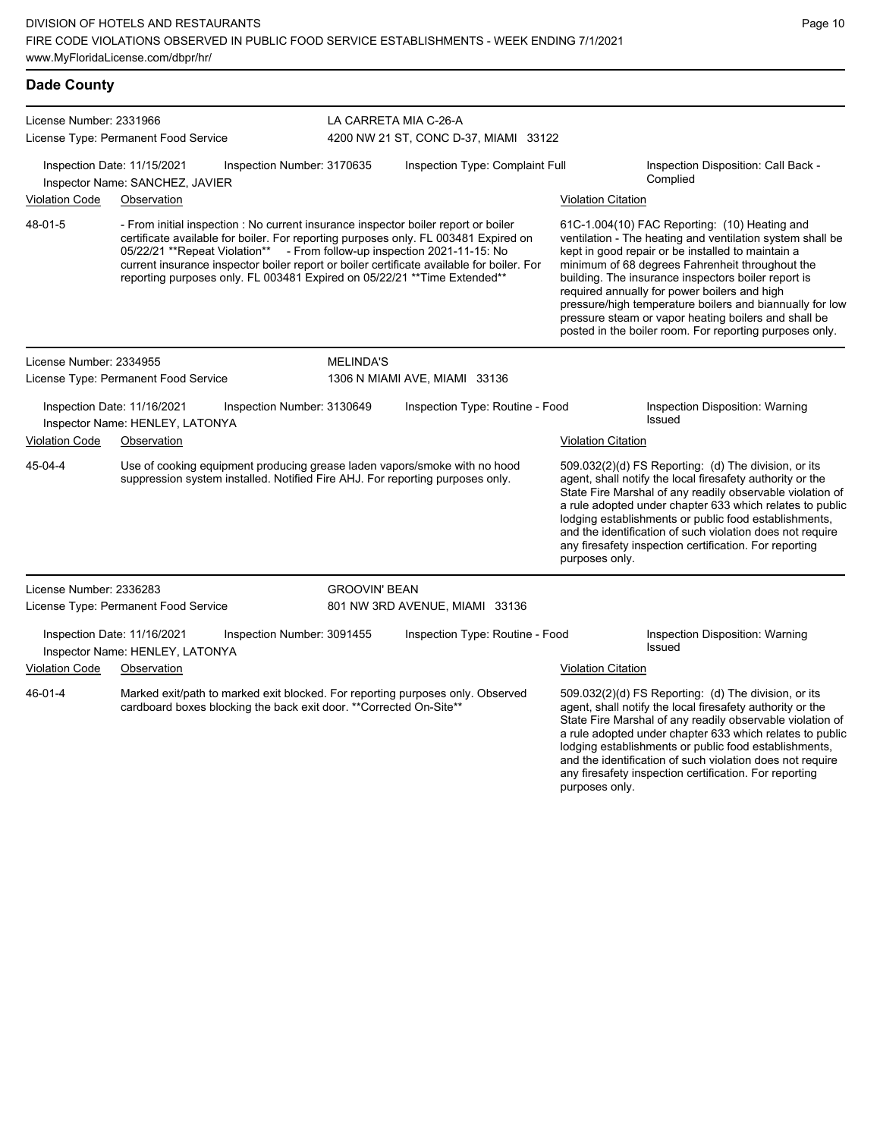| <b>Dade County</b>      |                                                                     |                            |                                                                                                                                                            |                                                                                                                                                                                                                                                                                                                                                                                                                                  |                           |                                                                                                                                                                                                                                                                                                                                                                                                                                                                                                          |
|-------------------------|---------------------------------------------------------------------|----------------------------|------------------------------------------------------------------------------------------------------------------------------------------------------------|----------------------------------------------------------------------------------------------------------------------------------------------------------------------------------------------------------------------------------------------------------------------------------------------------------------------------------------------------------------------------------------------------------------------------------|---------------------------|----------------------------------------------------------------------------------------------------------------------------------------------------------------------------------------------------------------------------------------------------------------------------------------------------------------------------------------------------------------------------------------------------------------------------------------------------------------------------------------------------------|
| License Number: 2331966 | License Type: Permanent Food Service                                |                            | LA CARRETA MIA C-26-A                                                                                                                                      | 4200 NW 21 ST, CONC D-37, MIAMI 33122                                                                                                                                                                                                                                                                                                                                                                                            |                           |                                                                                                                                                                                                                                                                                                                                                                                                                                                                                                          |
|                         | Inspection Date: 11/15/2021<br>Inspector Name: SANCHEZ, JAVIER      | Inspection Number: 3170635 |                                                                                                                                                            | Inspection Type: Complaint Full                                                                                                                                                                                                                                                                                                                                                                                                  |                           | Inspection Disposition: Call Back -<br>Complied                                                                                                                                                                                                                                                                                                                                                                                                                                                          |
| Violation Code          | Observation                                                         |                            |                                                                                                                                                            |                                                                                                                                                                                                                                                                                                                                                                                                                                  | <b>Violation Citation</b> |                                                                                                                                                                                                                                                                                                                                                                                                                                                                                                          |
| 48-01-5                 |                                                                     |                            |                                                                                                                                                            | - From initial inspection : No current insurance inspector boiler report or boiler<br>certificate available for boiler. For reporting purposes only. FL 003481 Expired on<br>05/22/21 ** Repeat Violation** - From follow-up inspection 2021-11-15: No<br>current insurance inspector boiler report or boiler certificate available for boiler. For<br>reporting purposes only. FL 003481 Expired on 05/22/21 ** Time Extended** |                           | 61C-1.004(10) FAC Reporting: (10) Heating and<br>ventilation - The heating and ventilation system shall be<br>kept in good repair or be installed to maintain a<br>minimum of 68 degrees Fahrenheit throughout the<br>building. The insurance inspectors boiler report is<br>required annually for power boilers and high<br>pressure/high temperature boilers and biannually for low<br>pressure steam or vapor heating boilers and shall be<br>posted in the boiler room. For reporting purposes only. |
| License Number: 2334955 |                                                                     |                            | <b>MELINDA'S</b>                                                                                                                                           |                                                                                                                                                                                                                                                                                                                                                                                                                                  |                           |                                                                                                                                                                                                                                                                                                                                                                                                                                                                                                          |
|                         | License Type: Permanent Food Service                                |                            |                                                                                                                                                            | 1306 N MIAMI AVE, MIAMI 33136                                                                                                                                                                                                                                                                                                                                                                                                    |                           |                                                                                                                                                                                                                                                                                                                                                                                                                                                                                                          |
|                         | Inspection Date: 11/16/2021<br>Inspector Name: HENLEY, LATONYA      | Inspection Number: 3130649 |                                                                                                                                                            | Inspection Type: Routine - Food                                                                                                                                                                                                                                                                                                                                                                                                  |                           | Inspection Disposition: Warning<br>Issued                                                                                                                                                                                                                                                                                                                                                                                                                                                                |
| <b>Violation Code</b>   | Observation                                                         |                            |                                                                                                                                                            |                                                                                                                                                                                                                                                                                                                                                                                                                                  | <b>Violation Citation</b> |                                                                                                                                                                                                                                                                                                                                                                                                                                                                                                          |
| 45-04-4                 |                                                                     |                            | Use of cooking equipment producing grease laden vapors/smoke with no hood<br>suppression system installed. Notified Fire AHJ. For reporting purposes only. |                                                                                                                                                                                                                                                                                                                                                                                                                                  | purposes only.            | 509.032(2)(d) FS Reporting: (d) The division, or its<br>agent, shall notify the local firesafety authority or the<br>State Fire Marshal of any readily observable violation of<br>a rule adopted under chapter 633 which relates to public<br>lodging establishments or public food establishments,<br>and the identification of such violation does not require<br>any firesafety inspection certification. For reporting                                                                               |
| License Number: 2336283 |                                                                     |                            | <b>GROOVIN' BEAN</b>                                                                                                                                       |                                                                                                                                                                                                                                                                                                                                                                                                                                  |                           |                                                                                                                                                                                                                                                                                                                                                                                                                                                                                                          |
|                         | License Type: Permanent Food Service                                |                            |                                                                                                                                                            | 801 NW 3RD AVENUE, MIAMI 33136                                                                                                                                                                                                                                                                                                                                                                                                   |                           |                                                                                                                                                                                                                                                                                                                                                                                                                                                                                                          |
|                         | Inspection Date: 11/16/2021<br>Inspector Name: HENLEY, LATONYA      | Inspection Number: 3091455 |                                                                                                                                                            | Inspection Type: Routine - Food                                                                                                                                                                                                                                                                                                                                                                                                  |                           | Inspection Disposition: Warning<br>Issued                                                                                                                                                                                                                                                                                                                                                                                                                                                                |
| Violation Code          | Observation                                                         |                            |                                                                                                                                                            |                                                                                                                                                                                                                                                                                                                                                                                                                                  | <b>Violation Citation</b> |                                                                                                                                                                                                                                                                                                                                                                                                                                                                                                          |
| 46-01-4                 | cardboard boxes blocking the back exit door. ** Corrected On-Site** |                            |                                                                                                                                                            | Marked exit/path to marked exit blocked. For reporting purposes only. Observed                                                                                                                                                                                                                                                                                                                                                   |                           | 509.032(2)(d) FS Reporting: (d) The division, or its<br>agent, shall notify the local firesafety authority or the<br>State Fire Marshal of any readily observable violation of<br>a rule adopted under chapter 633 which relates to public<br>lodging establishments or public food establishments,                                                                                                                                                                                                      |

and the identification of such violation does not require any firesafety inspection certification. For reporting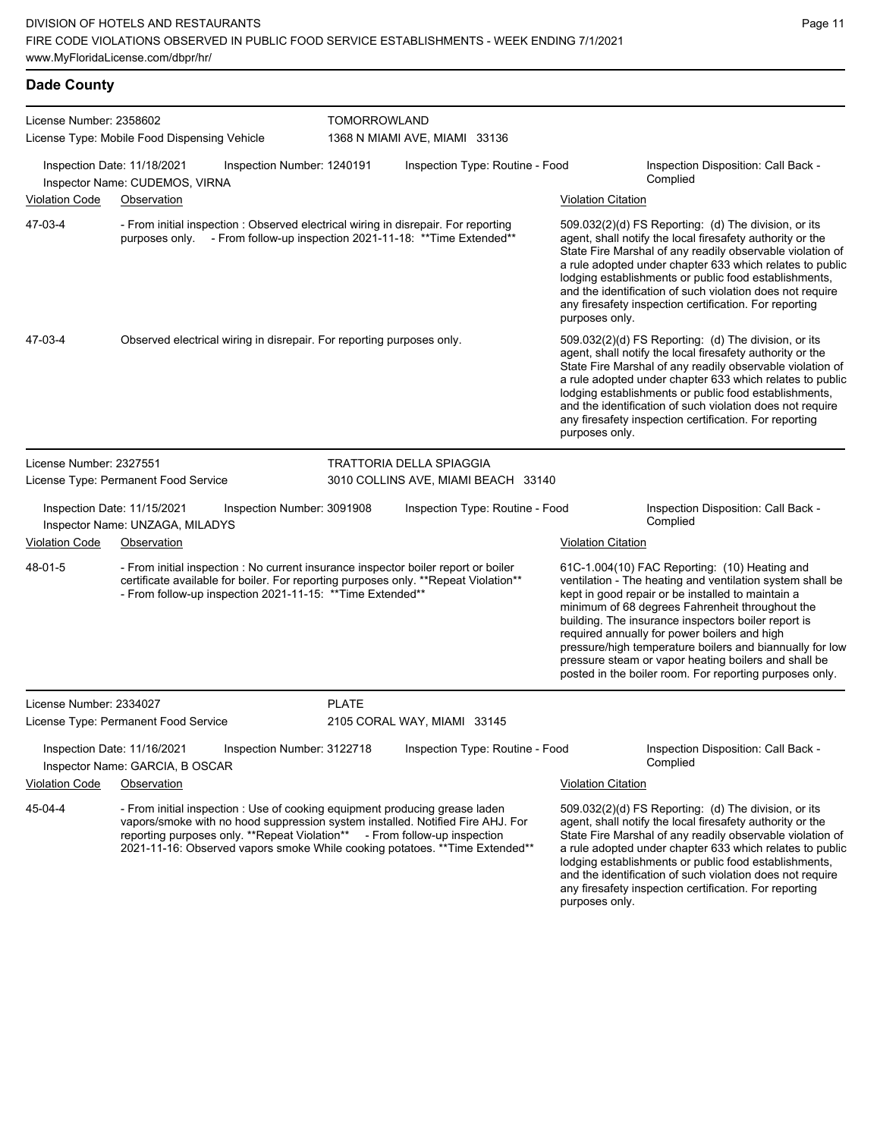| <b>Dade County</b>                                                                                                                                                  |                                                                                                                                                                                                                                          |              |                                                                                                                                                               |                           |                                                                                                                                                                                                                                                                                                                                                                                                                                                                                                          |  |  |  |
|---------------------------------------------------------------------------------------------------------------------------------------------------------------------|------------------------------------------------------------------------------------------------------------------------------------------------------------------------------------------------------------------------------------------|--------------|---------------------------------------------------------------------------------------------------------------------------------------------------------------|---------------------------|----------------------------------------------------------------------------------------------------------------------------------------------------------------------------------------------------------------------------------------------------------------------------------------------------------------------------------------------------------------------------------------------------------------------------------------------------------------------------------------------------------|--|--|--|
| License Number: 2358602                                                                                                                                             | License Type: Mobile Food Dispensing Vehicle                                                                                                                                                                                             |              | TOMORROWLAND<br>1368 N MIAMI AVE, MIAMI 33136                                                                                                                 |                           |                                                                                                                                                                                                                                                                                                                                                                                                                                                                                                          |  |  |  |
|                                                                                                                                                                     | Inspection Date: 11/18/2021<br>Inspection Number: 1240191<br>Inspector Name: CUDEMOS, VIRNA                                                                                                                                              |              | Inspection Type: Routine - Food                                                                                                                               |                           | Inspection Disposition: Call Back -<br>Complied                                                                                                                                                                                                                                                                                                                                                                                                                                                          |  |  |  |
| <b>Violation Code</b>                                                                                                                                               | Observation                                                                                                                                                                                                                              |              |                                                                                                                                                               | <b>Violation Citation</b> |                                                                                                                                                                                                                                                                                                                                                                                                                                                                                                          |  |  |  |
| 47-03-4                                                                                                                                                             | - From initial inspection : Observed electrical wiring in disrepair. For reporting<br>purposes only. - From follow-up inspection 2021-11-18: ** Time Extended**                                                                          |              |                                                                                                                                                               | purposes only.            | 509.032(2)(d) FS Reporting: (d) The division, or its<br>agent, shall notify the local firesafety authority or the<br>State Fire Marshal of any readily observable violation of<br>a rule adopted under chapter 633 which relates to public<br>lodging establishments or public food establishments,<br>and the identification of such violation does not require<br>any firesafety inspection certification. For reporting                                                                               |  |  |  |
| 47-03-4                                                                                                                                                             | Observed electrical wiring in disrepair. For reporting purposes only.                                                                                                                                                                    |              |                                                                                                                                                               | purposes only.            | 509.032(2)(d) FS Reporting: (d) The division, or its<br>agent, shall notify the local firesafety authority or the<br>State Fire Marshal of any readily observable violation of<br>a rule adopted under chapter 633 which relates to public<br>lodging establishments or public food establishments,<br>and the identification of such violation does not require<br>any firesafety inspection certification. For reporting                                                                               |  |  |  |
| License Number: 2327551                                                                                                                                             |                                                                                                                                                                                                                                          |              | <b>TRATTORIA DELLA SPIAGGIA</b>                                                                                                                               |                           |                                                                                                                                                                                                                                                                                                                                                                                                                                                                                                          |  |  |  |
|                                                                                                                                                                     | License Type: Permanent Food Service                                                                                                                                                                                                     |              | 3010 COLLINS AVE, MIAMI BEACH 33140                                                                                                                           |                           |                                                                                                                                                                                                                                                                                                                                                                                                                                                                                                          |  |  |  |
|                                                                                                                                                                     | Inspection Date: 11/15/2021<br>Inspection Number: 3091908<br>Inspector Name: UNZAGA, MILADYS                                                                                                                                             |              | Inspection Type: Routine - Food                                                                                                                               |                           | Inspection Disposition: Call Back -<br>Complied                                                                                                                                                                                                                                                                                                                                                                                                                                                          |  |  |  |
| <b>Violation Code</b>                                                                                                                                               | Observation                                                                                                                                                                                                                              |              |                                                                                                                                                               | <b>Violation Citation</b> |                                                                                                                                                                                                                                                                                                                                                                                                                                                                                                          |  |  |  |
| 48-01-5                                                                                                                                                             | - From initial inspection : No current insurance inspector boiler report or boiler<br>certificate available for boiler. For reporting purposes only. ** Repeat Violation**<br>- From follow-up inspection 2021-11-15: ** Time Extended** |              |                                                                                                                                                               |                           | 61C-1.004(10) FAC Reporting: (10) Heating and<br>ventilation - The heating and ventilation system shall be<br>kept in good repair or be installed to maintain a<br>minimum of 68 degrees Fahrenheit throughout the<br>building. The insurance inspectors boiler report is<br>required annually for power boilers and high<br>pressure/high temperature boilers and biannually for low<br>pressure steam or vapor heating boilers and shall be<br>posted in the boiler room. For reporting purposes only. |  |  |  |
| License Number: 2334027                                                                                                                                             |                                                                                                                                                                                                                                          | <b>PLATE</b> |                                                                                                                                                               |                           |                                                                                                                                                                                                                                                                                                                                                                                                                                                                                                          |  |  |  |
|                                                                                                                                                                     | License Type: Permanent Food Service                                                                                                                                                                                                     |              | 2105 CORAL WAY, MIAMI 33145                                                                                                                                   |                           |                                                                                                                                                                                                                                                                                                                                                                                                                                                                                                          |  |  |  |
|                                                                                                                                                                     | Inspection Date: 11/16/2021<br>Inspection Number: 3122718<br>Inspector Name: GARCIA, B OSCAR                                                                                                                                             |              | Inspection Type: Routine - Food                                                                                                                               |                           | Inspection Disposition: Call Back -<br>Complied                                                                                                                                                                                                                                                                                                                                                                                                                                                          |  |  |  |
| <b>Violation Code</b>                                                                                                                                               | Observation                                                                                                                                                                                                                              |              |                                                                                                                                                               | <b>Violation Citation</b> |                                                                                                                                                                                                                                                                                                                                                                                                                                                                                                          |  |  |  |
| 45-04-4<br>- From initial inspection : Use of cooking equipment producing grease laden<br>reporting purposes only. **Repeat Violation** - From follow-up inspection |                                                                                                                                                                                                                                          |              | vapors/smoke with no hood suppression system installed. Notified Fire AHJ. For<br>2021-11-16: Observed vapors smoke While cooking potatoes. **Time Extended** |                           | 509.032(2)(d) FS Reporting: (d) The division, or its<br>agent, shall notify the local firesafety authority or the<br>State Fire Marshal of any readily observable violation of<br>a rule adopted under chapter 633 which relates to public<br>lodging establishments or public food establishments,<br>and the identification of such violation does not require<br>any firesafety inspection certification. For reporting                                                                               |  |  |  |
|                                                                                                                                                                     |                                                                                                                                                                                                                                          |              |                                                                                                                                                               |                           |                                                                                                                                                                                                                                                                                                                                                                                                                                                                                                          |  |  |  |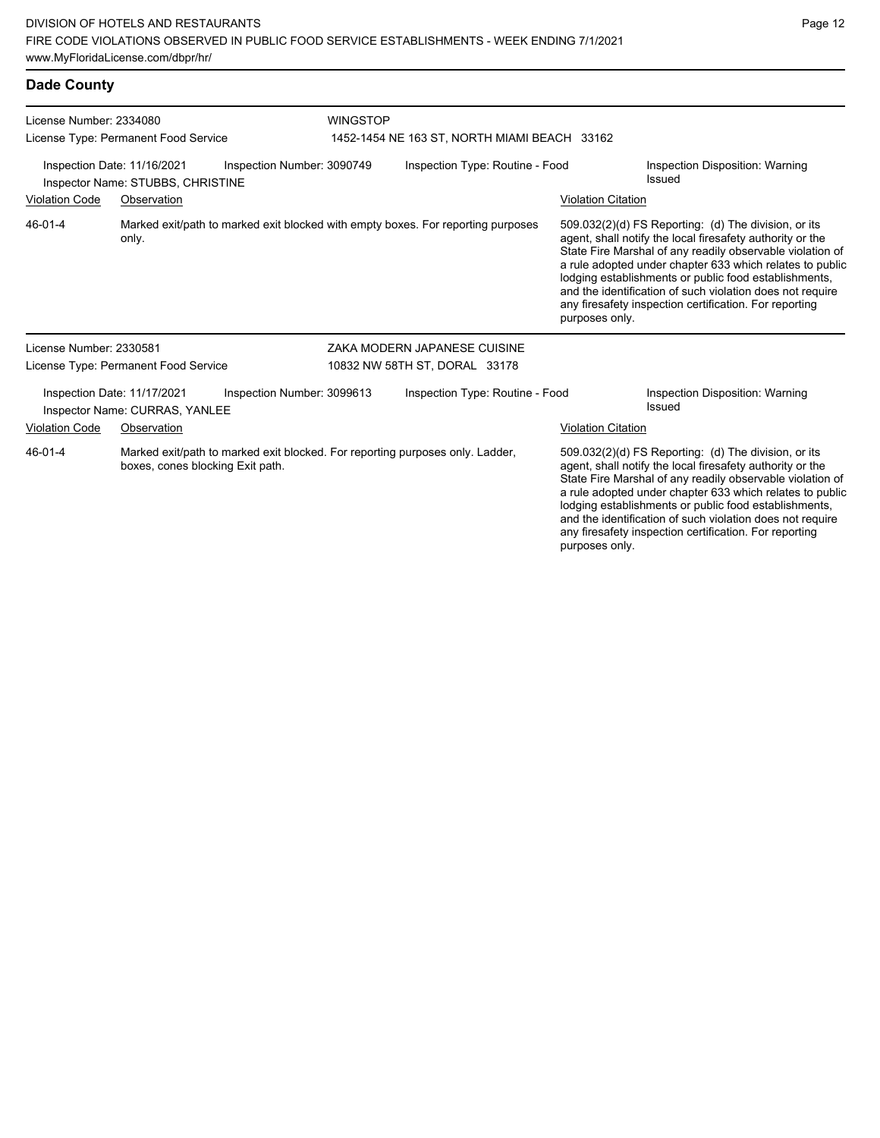#### **Dade County**

| License Number: 2334080<br>License Type: Permanent Food Service  |                                                               |                                                                                  | <b>WINGSTOP</b><br>1452-1454 NE 163 ST, NORTH MIAMI BEACH 33162 |                           |                                                                                                                                                                                                                                                                                                                                                                                                                            |  |  |
|------------------------------------------------------------------|---------------------------------------------------------------|----------------------------------------------------------------------------------|-----------------------------------------------------------------|---------------------------|----------------------------------------------------------------------------------------------------------------------------------------------------------------------------------------------------------------------------------------------------------------------------------------------------------------------------------------------------------------------------------------------------------------------------|--|--|
| Inspection Date: 11/16/2021<br>Inspector Name: STUBBS, CHRISTINE |                                                               | Inspection Number: 3090749                                                       | Inspection Type: Routine - Food                                 |                           | Inspection Disposition: Warning<br>Issued                                                                                                                                                                                                                                                                                                                                                                                  |  |  |
| <b>Violation Code</b>                                            | Observation                                                   |                                                                                  |                                                                 | <b>Violation Citation</b> |                                                                                                                                                                                                                                                                                                                                                                                                                            |  |  |
| 46-01-4                                                          | only.                                                         | Marked exit/path to marked exit blocked with empty boxes. For reporting purposes |                                                                 | purposes only.            | 509.032(2)(d) FS Reporting: (d) The division, or its<br>agent, shall notify the local firesafety authority or the<br>State Fire Marshal of any readily observable violation of<br>a rule adopted under chapter 633 which relates to public<br>lodging establishments or public food establishments,<br>and the identification of such violation does not require<br>any firesafety inspection certification. For reporting |  |  |
| License Number: 2330581                                          |                                                               |                                                                                  | ZAKA MODERN JAPANESE CUISINE                                    |                           |                                                                                                                                                                                                                                                                                                                                                                                                                            |  |  |
|                                                                  | License Type: Permanent Food Service                          |                                                                                  | 10832 NW 58TH ST, DORAL 33178                                   |                           |                                                                                                                                                                                                                                                                                                                                                                                                                            |  |  |
|                                                                  | Inspection Date: 11/17/2021<br>Inspector Name: CURRAS, YANLEE | Inspection Number: 3099613                                                       | Inspection Type: Routine - Food                                 |                           | Inspection Disposition: Warning<br>Issued                                                                                                                                                                                                                                                                                                                                                                                  |  |  |
| Violation Code                                                   | Observation                                                   |                                                                                  |                                                                 | <b>Violation Citation</b> |                                                                                                                                                                                                                                                                                                                                                                                                                            |  |  |
| 46-01-4                                                          | boxes, cones blocking Exit path.                              | Marked exit/path to marked exit blocked. For reporting purposes only. Ladder,    |                                                                 |                           | 509.032(2)(d) FS Reporting: (d) The division, or its<br>agent, shall notify the local firesafety authority or the<br>State Fire Marshal of any readily observable violation of<br>a rule adopted under chapter 633 which relates to public<br>lodging establishments or public food establishments,                                                                                                                        |  |  |

and the identification of such violation does not require any firesafety inspection certification. For reporting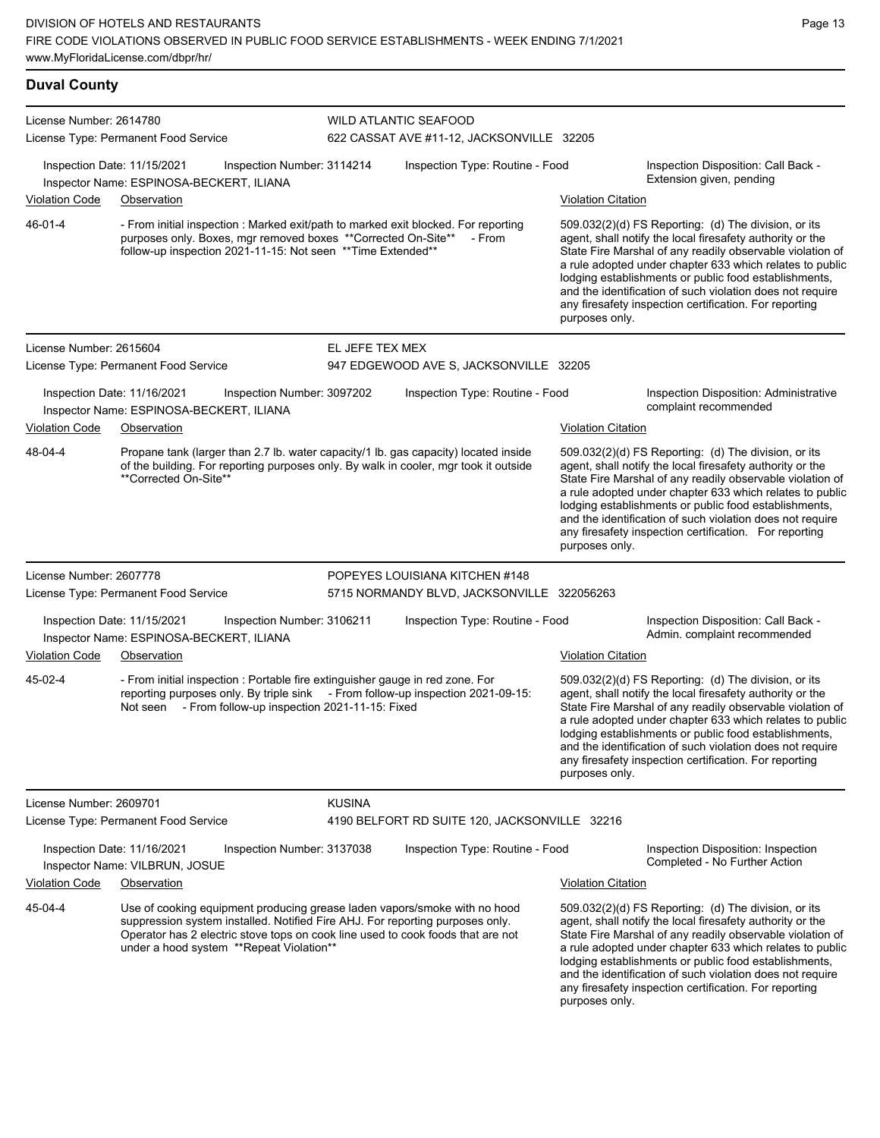| <b>Duval County</b>     |                                                                                                                                                                                                                                                                                           |                 |                                                                           |                                                                                                                                                                                                                                                                                                                                                                                                                                                |                                                                                                                                                                                                                                                                                                                                                                                                                            |
|-------------------------|-------------------------------------------------------------------------------------------------------------------------------------------------------------------------------------------------------------------------------------------------------------------------------------------|-----------------|---------------------------------------------------------------------------|------------------------------------------------------------------------------------------------------------------------------------------------------------------------------------------------------------------------------------------------------------------------------------------------------------------------------------------------------------------------------------------------------------------------------------------------|----------------------------------------------------------------------------------------------------------------------------------------------------------------------------------------------------------------------------------------------------------------------------------------------------------------------------------------------------------------------------------------------------------------------------|
| License Number: 2614780 | License Type: Permanent Food Service                                                                                                                                                                                                                                                      |                 | <b>WILD ATLANTIC SEAFOOD</b><br>622 CASSAT AVE #11-12, JACKSONVILLE 32205 |                                                                                                                                                                                                                                                                                                                                                                                                                                                |                                                                                                                                                                                                                                                                                                                                                                                                                            |
|                         | Inspection Date: 11/15/2021<br>Inspection Number: 3114214<br>Inspector Name: ESPINOSA-BECKERT, ILIANA                                                                                                                                                                                     |                 | Inspection Type: Routine - Food                                           |                                                                                                                                                                                                                                                                                                                                                                                                                                                | Inspection Disposition: Call Back -<br>Extension given, pending                                                                                                                                                                                                                                                                                                                                                            |
| <b>Violation Code</b>   | Observation                                                                                                                                                                                                                                                                               |                 |                                                                           | <b>Violation Citation</b>                                                                                                                                                                                                                                                                                                                                                                                                                      |                                                                                                                                                                                                                                                                                                                                                                                                                            |
| 46-01-4                 | - From initial inspection : Marked exit/path to marked exit blocked. For reporting<br>purposes only. Boxes, mgr removed boxes ** Corrected On-Site**<br>follow-up inspection 2021-11-15: Not seen ** Time Extended**                                                                      |                 | - From                                                                    | $509.032(2)(d)$ FS Reporting: (d) The division, or its<br>agent, shall notify the local firesafety authority or the<br>State Fire Marshal of any readily observable violation of<br>a rule adopted under chapter 633 which relates to public<br>lodging establishments or public food establishments,<br>and the identification of such violation does not require<br>any firesafety inspection certification. For reporting<br>purposes only. |                                                                                                                                                                                                                                                                                                                                                                                                                            |
| License Number: 2615604 |                                                                                                                                                                                                                                                                                           | EL JEFE TEX MEX |                                                                           |                                                                                                                                                                                                                                                                                                                                                                                                                                                |                                                                                                                                                                                                                                                                                                                                                                                                                            |
|                         | License Type: Permanent Food Service                                                                                                                                                                                                                                                      |                 | 947 EDGEWOOD AVE S, JACKSONVILLE 32205                                    |                                                                                                                                                                                                                                                                                                                                                                                                                                                |                                                                                                                                                                                                                                                                                                                                                                                                                            |
|                         | Inspection Date: 11/16/2021<br>Inspection Number: 3097202<br>Inspector Name: ESPINOSA-BECKERT, ILIANA                                                                                                                                                                                     |                 | Inspection Type: Routine - Food                                           |                                                                                                                                                                                                                                                                                                                                                                                                                                                | Inspection Disposition: Administrative<br>complaint recommended                                                                                                                                                                                                                                                                                                                                                            |
| <b>Violation Code</b>   | Observation                                                                                                                                                                                                                                                                               |                 |                                                                           | <b>Violation Citation</b>                                                                                                                                                                                                                                                                                                                                                                                                                      |                                                                                                                                                                                                                                                                                                                                                                                                                            |
| 48-04-4                 | Propane tank (larger than 2.7 lb. water capacity/1 lb. gas capacity) located inside<br>of the building. For reporting purposes only. By walk in cooler, mgr took it outside<br>**Corrected On-Site**                                                                                      |                 |                                                                           | purposes only.                                                                                                                                                                                                                                                                                                                                                                                                                                 | 509.032(2)(d) FS Reporting: (d) The division, or its<br>agent, shall notify the local firesafety authority or the<br>State Fire Marshal of any readily observable violation of<br>a rule adopted under chapter 633 which relates to public<br>lodging establishments or public food establishments,<br>and the identification of such violation does not require<br>any firesafety inspection certification. For reporting |
| License Number: 2607778 |                                                                                                                                                                                                                                                                                           |                 | POPEYES LOUISIANA KITCHEN #148                                            |                                                                                                                                                                                                                                                                                                                                                                                                                                                |                                                                                                                                                                                                                                                                                                                                                                                                                            |
|                         | License Type: Permanent Food Service                                                                                                                                                                                                                                                      |                 | 5715 NORMANDY BLVD, JACKSONVILLE 322056263                                |                                                                                                                                                                                                                                                                                                                                                                                                                                                |                                                                                                                                                                                                                                                                                                                                                                                                                            |
|                         | Inspection Date: 11/15/2021<br>Inspection Number: 3106211<br>Inspector Name: ESPINOSA-BECKERT, ILIANA                                                                                                                                                                                     |                 | Inspection Type: Routine - Food                                           |                                                                                                                                                                                                                                                                                                                                                                                                                                                | Inspection Disposition: Call Back -<br>Admin. complaint recommended                                                                                                                                                                                                                                                                                                                                                        |
| <b>Violation Code</b>   | Observation                                                                                                                                                                                                                                                                               |                 |                                                                           | <b>Violation Citation</b>                                                                                                                                                                                                                                                                                                                                                                                                                      |                                                                                                                                                                                                                                                                                                                                                                                                                            |
| 45-02-4                 | - From initial inspection : Portable fire extinguisher gauge in red zone. For<br>reporting purposes only. By triple sink - From follow-up inspection 2021-09-15:<br>Not seen - From follow-up inspection 2021-11-15: Fixed                                                                |                 |                                                                           | 509.032(2)(d) FS Reporting: (d) The division, or its<br>agent, shall notify the local firesafety authority or the<br>State Fire Marshal of any readily observable violation of<br>a rule adopted under chapter 633 which relates to public<br>lodging establishments or public food establishments,<br>and the identification of such violation does not require<br>any firesafety inspection certification. For reporting<br>purposes only.   |                                                                                                                                                                                                                                                                                                                                                                                                                            |
| License Number: 2609701 |                                                                                                                                                                                                                                                                                           | <b>KUSINA</b>   |                                                                           |                                                                                                                                                                                                                                                                                                                                                                                                                                                |                                                                                                                                                                                                                                                                                                                                                                                                                            |
|                         | License Type: Permanent Food Service                                                                                                                                                                                                                                                      |                 | 4190 BELFORT RD SUITE 120, JACKSONVILLE 32216                             |                                                                                                                                                                                                                                                                                                                                                                                                                                                |                                                                                                                                                                                                                                                                                                                                                                                                                            |
|                         | Inspection Date: 11/16/2021<br>Inspection Number: 3137038<br>Inspector Name: VILBRUN, JOSUE                                                                                                                                                                                               |                 | Inspection Type: Routine - Food                                           |                                                                                                                                                                                                                                                                                                                                                                                                                                                | Inspection Disposition: Inspection<br>Completed - No Further Action                                                                                                                                                                                                                                                                                                                                                        |
| <b>Violation Code</b>   | Observation                                                                                                                                                                                                                                                                               |                 |                                                                           | <b>Violation Citation</b>                                                                                                                                                                                                                                                                                                                                                                                                                      |                                                                                                                                                                                                                                                                                                                                                                                                                            |
| 45-04-4                 | Use of cooking equipment producing grease laden vapors/smoke with no hood<br>suppression system installed. Notified Fire AHJ. For reporting purposes only.<br>Operator has 2 electric stove tops on cook line used to cook foods that are not<br>under a hood system **Repeat Violation** |                 |                                                                           |                                                                                                                                                                                                                                                                                                                                                                                                                                                | 509.032(2)(d) FS Reporting: (d) The division, or its<br>agent, shall notify the local firesafety authority or the<br>State Fire Marshal of any readily observable violation of<br>a rule adopted under chapter 633 which relates to public<br>lodging establishments or public food establishments,                                                                                                                        |

and the identification of such violation does not require any firesafety inspection certification. For reporting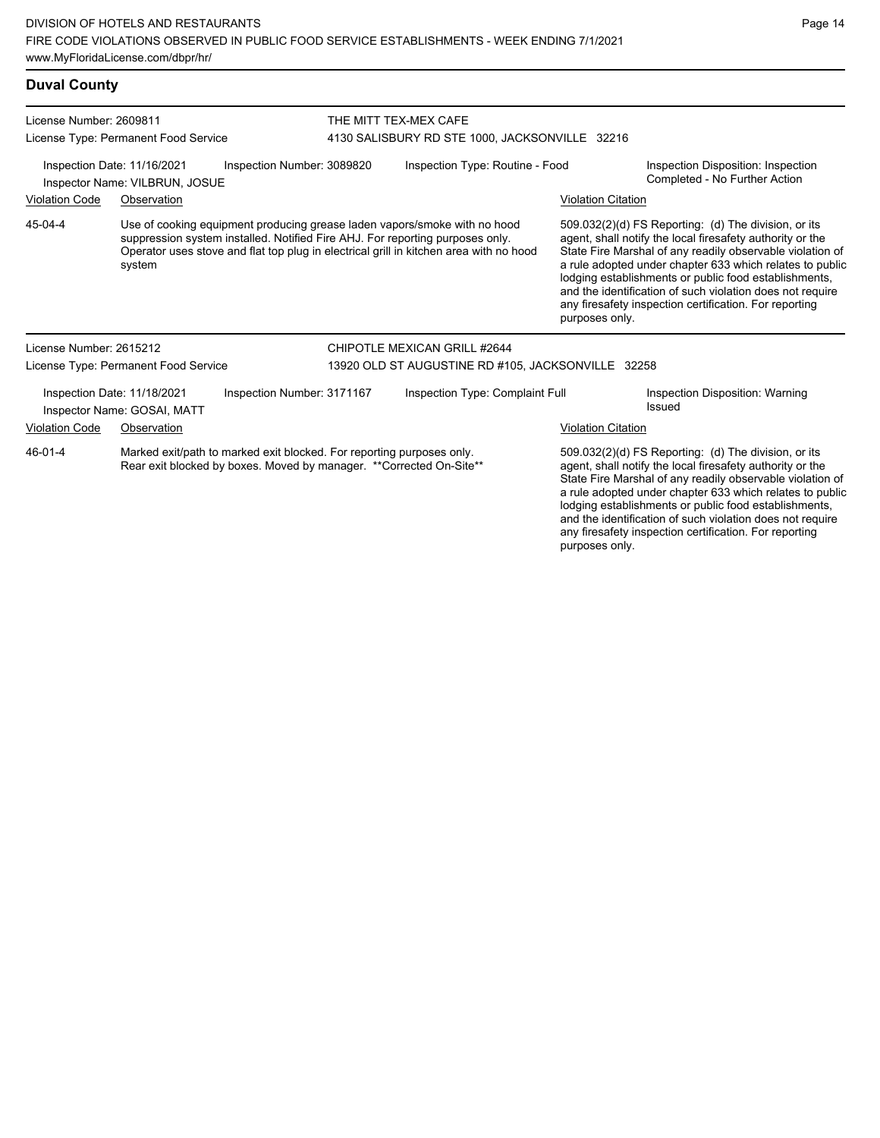| <b>Duval County</b>     |                                                                                                                                               |                            |  |                                                                                                                                                                                                                                                      |                                                                                                                                                                                                                                                                                                                                                                                                                                              |                                                  |  |  |  |
|-------------------------|-----------------------------------------------------------------------------------------------------------------------------------------------|----------------------------|--|------------------------------------------------------------------------------------------------------------------------------------------------------------------------------------------------------------------------------------------------------|----------------------------------------------------------------------------------------------------------------------------------------------------------------------------------------------------------------------------------------------------------------------------------------------------------------------------------------------------------------------------------------------------------------------------------------------|--------------------------------------------------|--|--|--|
| License Number: 2609811 |                                                                                                                                               |                            |  | THE MITT TEX-MEX CAFE                                                                                                                                                                                                                                |                                                                                                                                                                                                                                                                                                                                                                                                                                              |                                                  |  |  |  |
|                         | License Type: Permanent Food Service                                                                                                          |                            |  | 4130 SALISBURY RD STE 1000, JACKSONVILLE 32216                                                                                                                                                                                                       |                                                                                                                                                                                                                                                                                                                                                                                                                                              |                                                  |  |  |  |
|                         | Inspection Date: 11/16/2021<br>Inspector Name: VILBRUN, JOSUE                                                                                 | Inspection Number: 3089820 |  | Inspection Type: Routine - Food<br>Inspection Disposition: Inspection<br>Completed - No Further Action                                                                                                                                               |                                                                                                                                                                                                                                                                                                                                                                                                                                              |                                                  |  |  |  |
| Violation Code          | Observation                                                                                                                                   |                            |  | <b>Violation Citation</b>                                                                                                                                                                                                                            |                                                                                                                                                                                                                                                                                                                                                                                                                                              |                                                  |  |  |  |
| 45-04-4                 | system                                                                                                                                        |                            |  | Use of cooking equipment producing grease laden vapors/smoke with no hood<br>suppression system installed. Notified Fire AHJ. For reporting purposes only.<br>Operator uses stove and flat top plug in electrical grill in kitchen area with no hood | 509.032(2)(d) FS Reporting: (d) The division, or its<br>agent, shall notify the local firesafety authority or the<br>State Fire Marshal of any readily observable violation of<br>a rule adopted under chapter 633 which relates to public<br>lodging establishments or public food establishments,<br>and the identification of such violation does not require<br>any firesafety inspection certification. For reporting<br>purposes only. |                                                  |  |  |  |
| License Number: 2615212 |                                                                                                                                               |                            |  | CHIPOTLE MEXICAN GRILL #2644                                                                                                                                                                                                                         |                                                                                                                                                                                                                                                                                                                                                                                                                                              |                                                  |  |  |  |
|                         | License Type: Permanent Food Service                                                                                                          |                            |  | 13920 OLD ST AUGUSTINE RD #105, JACKSONVILLE 32258                                                                                                                                                                                                   |                                                                                                                                                                                                                                                                                                                                                                                                                                              |                                                  |  |  |  |
|                         | Inspection Date: 11/18/2021<br>Inspector Name: GOSAI, MATT                                                                                    | Inspection Number: 3171167 |  | Inspection Type: Complaint Full                                                                                                                                                                                                                      |                                                                                                                                                                                                                                                                                                                                                                                                                                              | Inspection Disposition: Warning<br><b>Issued</b> |  |  |  |
| Violation Code          | Observation                                                                                                                                   |                            |  |                                                                                                                                                                                                                                                      | <b>Violation Citation</b>                                                                                                                                                                                                                                                                                                                                                                                                                    |                                                  |  |  |  |
| 46-01-4                 | Marked exit/path to marked exit blocked. For reporting purposes only.<br>Rear exit blocked by boxes. Moved by manager. ** Corrected On-Site** |                            |  |                                                                                                                                                                                                                                                      | 509.032(2)(d) FS Reporting: (d) The division, or its<br>agent, shall notify the local firesafety authority or the                                                                                                                                                                                                                                                                                                                            |                                                  |  |  |  |

agent, shall notify the local firesafety authority or the State Fire Marshal of any readily observable violation of a rule adopted under chapter 633 which relates to public lodging establishments or public food establishments, and the identification of such violation does not require any firesafety inspection certification. For reporting purposes only.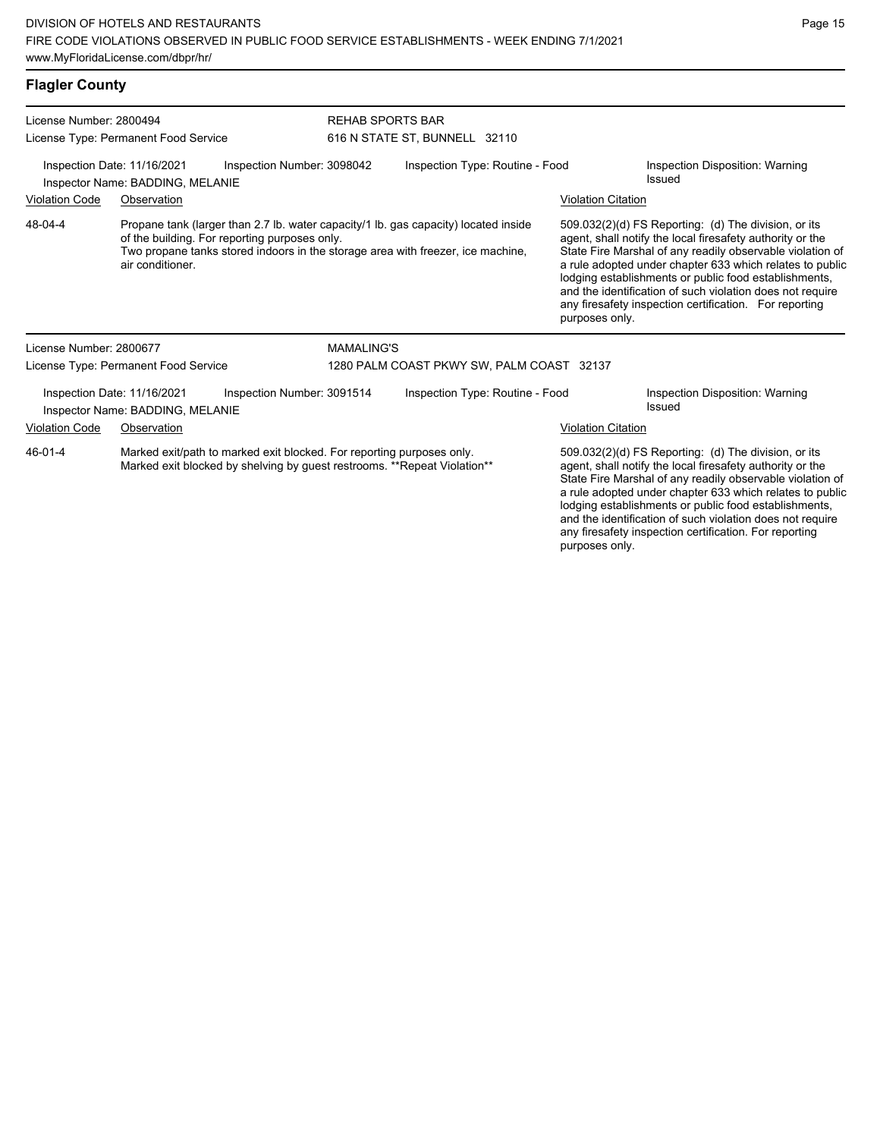| <b>Flagler County</b>                                                                                                                                                                                                                                  |                                                                      |                            |                                                          |                                                                |                                                                                                                                                                                                                                                                                                                                                                                                                                              |                                           |  |
|--------------------------------------------------------------------------------------------------------------------------------------------------------------------------------------------------------------------------------------------------------|----------------------------------------------------------------------|----------------------------|----------------------------------------------------------|----------------------------------------------------------------|----------------------------------------------------------------------------------------------------------------------------------------------------------------------------------------------------------------------------------------------------------------------------------------------------------------------------------------------------------------------------------------------------------------------------------------------|-------------------------------------------|--|
| License Number: 2800494<br>License Type: Permanent Food Service                                                                                                                                                                                        |                                                                      |                            | <b>REHAB SPORTS BAR</b><br>616 N STATE ST, BUNNELL 32110 |                                                                |                                                                                                                                                                                                                                                                                                                                                                                                                                              |                                           |  |
| Inspection Date: 11/16/2021<br>Inspection Number: 3098042<br>Inspector Name: BADDING, MELANIE                                                                                                                                                          |                                                                      |                            | Inspection Type: Routine - Food<br>Issued                |                                                                | Inspection Disposition: Warning                                                                                                                                                                                                                                                                                                                                                                                                              |                                           |  |
| <b>Violation Code</b>                                                                                                                                                                                                                                  | Observation                                                          |                            |                                                          |                                                                | <b>Violation Citation</b>                                                                                                                                                                                                                                                                                                                                                                                                                    |                                           |  |
| 48-04-4<br>Propane tank (larger than 2.7 lb. water capacity/1 lb. gas capacity) located inside<br>of the building. For reporting purposes only.<br>Two propane tanks stored indoors in the storage area with freezer, ice machine,<br>air conditioner. |                                                                      |                            |                                                          |                                                                | 509.032(2)(d) FS Reporting: (d) The division, or its<br>agent, shall notify the local firesafety authority or the<br>State Fire Marshal of any readily observable violation of<br>a rule adopted under chapter 633 which relates to public<br>lodging establishments or public food establishments,<br>and the identification of such violation does not require<br>any firesafety inspection certification. For reporting<br>purposes only. |                                           |  |
| License Number: 2800677                                                                                                                                                                                                                                |                                                                      |                            | <b>MAMALING'S</b>                                        |                                                                |                                                                                                                                                                                                                                                                                                                                                                                                                                              |                                           |  |
|                                                                                                                                                                                                                                                        | License Type: Permanent Food Service                                 |                            |                                                          | 1280 PALM COAST PKWY SW, PALM COAST 32137                      |                                                                                                                                                                                                                                                                                                                                                                                                                                              |                                           |  |
|                                                                                                                                                                                                                                                        | Inspection Date: 11/16/2021<br>Inspector Name: BADDING, MELANIE      | Inspection Number: 3091514 |                                                          | Inspection Type: Routine - Food                                |                                                                                                                                                                                                                                                                                                                                                                                                                                              | Inspection Disposition: Warning<br>Issued |  |
| Violation Code                                                                                                                                                                                                                                         | Observation                                                          |                            |                                                          |                                                                | <b>Violation Citation</b>                                                                                                                                                                                                                                                                                                                                                                                                                    |                                           |  |
| $AC$ $0.4$ $A$                                                                                                                                                                                                                                         | Marked ovitlaath to marked ovit blooked. Fer reporting purposes only |                            |                                                          | $E(0.022/2)/d$ $E(0.022/2)(d)$ $E(0.022/2)(d)$ $E(0.022/2)(d)$ |                                                                                                                                                                                                                                                                                                                                                                                                                                              |                                           |  |

Marked exit/path to marked exit blocked. For reporting purposes only. Marked exit blocked by shelving by guest restrooms. \*\*Repeat Violation\*\* 46-01-4

509.032(2)(d) FS Reporting: (d) The division, or its agent, shall notify the local firesafety authority or the State Fire Marshal of any readily observable violation of a rule adopted under chapter 633 which relates to public lodging establishments or public food establishments, and the identification of such violation does not require any firesafety inspection certification. For reporting purposes only.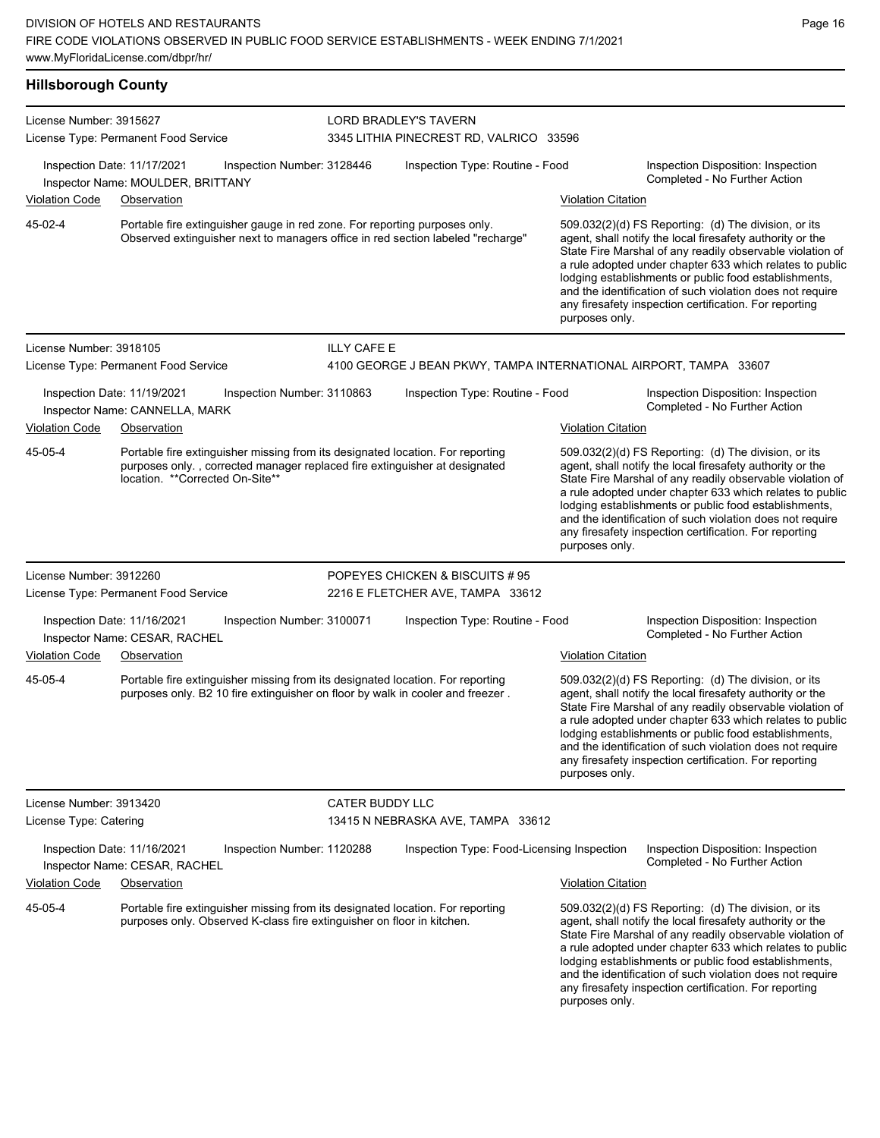| License Number: 3915627                           |                                                                  |                                                                                                                                                                  |                                 | LORD BRADLEY'S TAVERN                                                           |                                                                     |                                                                                                                                                                                                                                                                                                                                                                                                                            |  |
|---------------------------------------------------|------------------------------------------------------------------|------------------------------------------------------------------------------------------------------------------------------------------------------------------|---------------------------------|---------------------------------------------------------------------------------|---------------------------------------------------------------------|----------------------------------------------------------------------------------------------------------------------------------------------------------------------------------------------------------------------------------------------------------------------------------------------------------------------------------------------------------------------------------------------------------------------------|--|
|                                                   | License Type: Permanent Food Service                             |                                                                                                                                                                  |                                 | 3345 LITHIA PINECREST RD, VALRICO 33596                                         |                                                                     |                                                                                                                                                                                                                                                                                                                                                                                                                            |  |
|                                                   | Inspection Date: 11/17/2021<br>Inspector Name: MOULDER, BRITTANY | Inspection Number: 3128446                                                                                                                                       | Inspection Type: Routine - Food |                                                                                 | Inspection Disposition: Inspection<br>Completed - No Further Action |                                                                                                                                                                                                                                                                                                                                                                                                                            |  |
| <b>Violation Code</b>                             | Observation                                                      |                                                                                                                                                                  |                                 |                                                                                 | <b>Violation Citation</b>                                           |                                                                                                                                                                                                                                                                                                                                                                                                                            |  |
| 45-02-4                                           |                                                                  | Portable fire extinguisher gauge in red zone. For reporting purposes only.                                                                                       |                                 | Observed extinguisher next to managers office in red section labeled "recharge" | purposes only.                                                      | 509.032(2)(d) FS Reporting: (d) The division, or its<br>agent, shall notify the local firesafety authority or the<br>State Fire Marshal of any readily observable violation of<br>a rule adopted under chapter 633 which relates to public<br>lodging establishments or public food establishments,<br>and the identification of such violation does not require<br>any firesafety inspection certification. For reporting |  |
| License Number: 3918105                           |                                                                  |                                                                                                                                                                  | <b>ILLY CAFE E</b>              |                                                                                 |                                                                     |                                                                                                                                                                                                                                                                                                                                                                                                                            |  |
|                                                   | License Type: Permanent Food Service                             |                                                                                                                                                                  |                                 | 4100 GEORGE J BEAN PKWY, TAMPA INTERNATIONAL AIRPORT, TAMPA 33607               |                                                                     |                                                                                                                                                                                                                                                                                                                                                                                                                            |  |
|                                                   | Inspection Date: 11/19/2021<br>Inspector Name: CANNELLA, MARK    | Inspection Number: 3110863                                                                                                                                       |                                 | Inspection Type: Routine - Food                                                 |                                                                     | Inspection Disposition: Inspection<br>Completed - No Further Action                                                                                                                                                                                                                                                                                                                                                        |  |
| <b>Violation Code</b>                             | Observation                                                      |                                                                                                                                                                  |                                 |                                                                                 | <b>Violation Citation</b>                                           |                                                                                                                                                                                                                                                                                                                                                                                                                            |  |
| 45-05-4                                           | location. **Corrected On-Site**                                  | Portable fire extinguisher missing from its designated location. For reporting<br>purposes only., corrected manager replaced fire extinguisher at designated     |                                 |                                                                                 | purposes only.                                                      | 509.032(2)(d) FS Reporting: (d) The division, or its<br>agent, shall notify the local firesafety authority or the<br>State Fire Marshal of any readily observable violation of<br>a rule adopted under chapter 633 which relates to public<br>lodging establishments or public food establishments,<br>and the identification of such violation does not require<br>any firesafety inspection certification. For reporting |  |
| License Number: 3912260                           |                                                                  |                                                                                                                                                                  |                                 | POPEYES CHICKEN & BISCUITS #95                                                  |                                                                     |                                                                                                                                                                                                                                                                                                                                                                                                                            |  |
|                                                   | License Type: Permanent Food Service                             |                                                                                                                                                                  |                                 | 2216 E FLETCHER AVE, TAMPA 33612                                                |                                                                     |                                                                                                                                                                                                                                                                                                                                                                                                                            |  |
|                                                   | Inspection Date: 11/16/2021<br>Inspector Name: CESAR, RACHEL     | Inspection Number: 3100071                                                                                                                                       | Inspection Type: Routine - Food |                                                                                 |                                                                     | Inspection Disposition: Inspection<br>Completed - No Further Action                                                                                                                                                                                                                                                                                                                                                        |  |
| <b>Violation Code</b>                             | Observation                                                      |                                                                                                                                                                  |                                 |                                                                                 | <b>Violation Citation</b>                                           |                                                                                                                                                                                                                                                                                                                                                                                                                            |  |
| 45-05-4                                           |                                                                  | Portable fire extinguisher missing from its designated location. For reporting<br>purposes only. B2 10 fire extinguisher on floor by walk in cooler and freezer. |                                 |                                                                                 | purposes only.                                                      | 509.032(2)(d) FS Reporting: (d) The division, or its<br>agent, shall notify the local firesafety authority or the<br>State Fire Marshal of any readily observable violation of<br>a rule adopted under chapter 633 which relates to public<br>lodging establishments or public food establishments,<br>and the identification of such violation does not require<br>any firesafety inspection certification. For reporting |  |
| License Number: 3913420<br>License Type: Catering |                                                                  |                                                                                                                                                                  | <b>CATER BUDDY LLC</b>          | 13415 N NEBRASKA AVE, TAMPA 33612                                               |                                                                     |                                                                                                                                                                                                                                                                                                                                                                                                                            |  |
|                                                   | Inspection Date: 11/16/2021<br>Inspector Name: CESAR, RACHEL     | Inspection Number: 1120288                                                                                                                                       |                                 | Inspection Type: Food-Licensing Inspection                                      |                                                                     | Inspection Disposition: Inspection<br>Completed - No Further Action                                                                                                                                                                                                                                                                                                                                                        |  |
| <b>Violation Code</b>                             | Observation                                                      |                                                                                                                                                                  |                                 |                                                                                 | <b>Violation Citation</b>                                           |                                                                                                                                                                                                                                                                                                                                                                                                                            |  |
| 45-05-4                                           |                                                                  | Portable fire extinguisher missing from its designated location. For reporting<br>purposes only. Observed K-class fire extinguisher on floor in kitchen.         |                                 |                                                                                 | purposes only.                                                      | 509.032(2)(d) FS Reporting: (d) The division, or its<br>agent, shall notify the local firesafety authority or the<br>State Fire Marshal of any readily observable violation of<br>a rule adopted under chapter 633 which relates to public<br>lodging establishments or public food establishments,<br>and the identification of such violation does not require<br>any firesafety inspection certification. For reporting |  |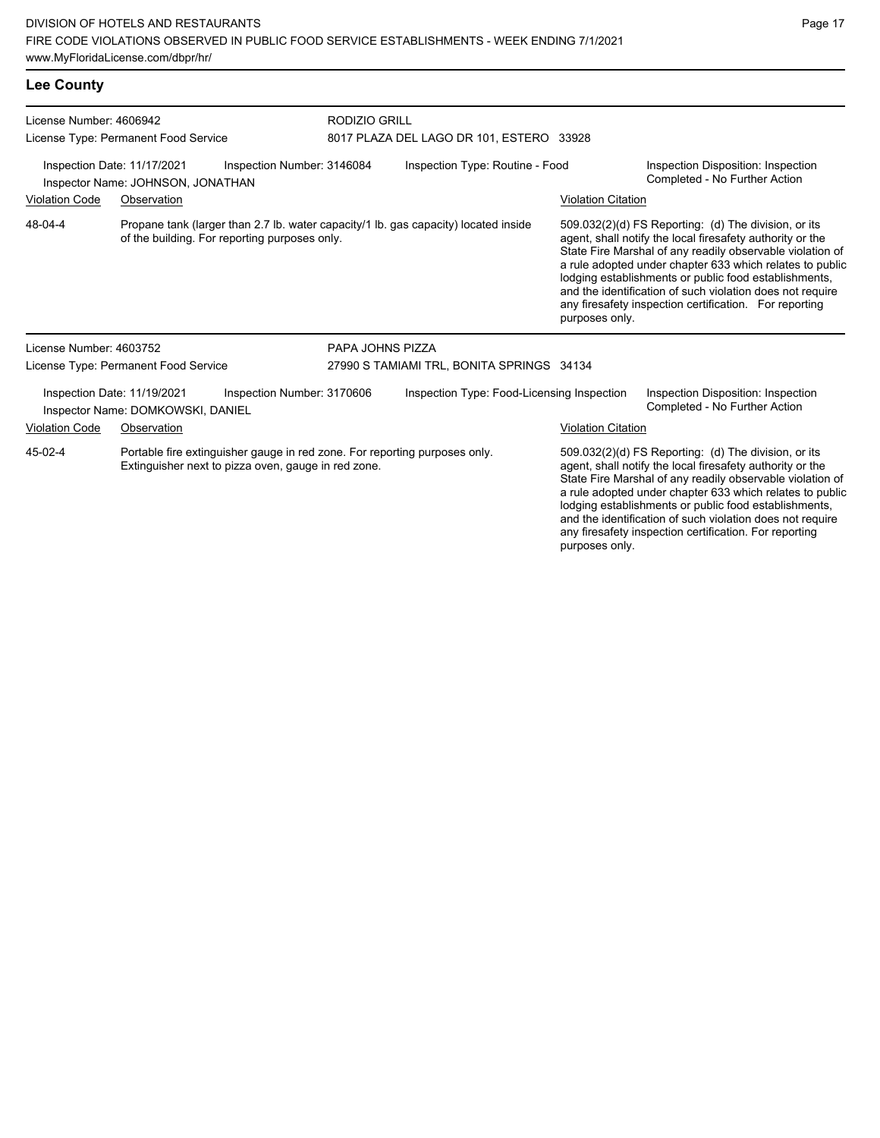| <b>Lee County</b>       |  |
|-------------------------|--|
| License Number: 4606942 |  |

License Type: Permanent Food Service

RODIZIO GRILL 8017 PLAZA DEL LAGO DR 101, ESTERO 33928

Inspection Date: 11/17/2021 Inspection Number: 3146084 Inspection Type: Routine - Food Inspection Disposition: Inspection Completed - No Further Action Inspector Name: JOHNSON, JONATHAN Violation Code Observation Violation Citation Propane tank (larger than 2.7 lb. water capacity/1 lb. gas capacity) located inside of the building. For reporting purposes only. 509.032(2)(d) FS Reporting: (d) The division, or its agent, shall notify the local firesafety authority or the State Fire Marshal of any readily observable violation of a rule adopted under chapter 633 which relates to public lodging establishments or public food establishments, and the identification of such violation does not require any firesafety inspection certification. For reporting purposes only. 48-04-4 License Number: 4603752 License Type: Permanent Food Service PAPA JOHNS PIZZA 27990 S TAMIAMI TRL, BONITA SPRINGS 34134

Inspection Date: 11/19/2021 Inspection Number: 3170606 Inspection Type: Food-Licensing Inspection Inspection Disposition: Inspection Inspector Name: DOMKOWSKI, DANIEL **Name: Completed - No Further Action** Violation Code Observation **Violation Citation** Violation Citation Citation

Portable fire extinguisher gauge in red zone. For reporting purposes only. Extinguisher next to pizza oven, gauge in red zone. 45-02-4

509.032(2)(d) FS Reporting: (d) The division, or its agent, shall notify the local firesafety authority or the State Fire Marshal of any readily observable violation of a rule adopted under chapter 633 which relates to public lodging establishments or public food establishments, and the identification of such violation does not require any firesafety inspection certification. For reporting purposes only.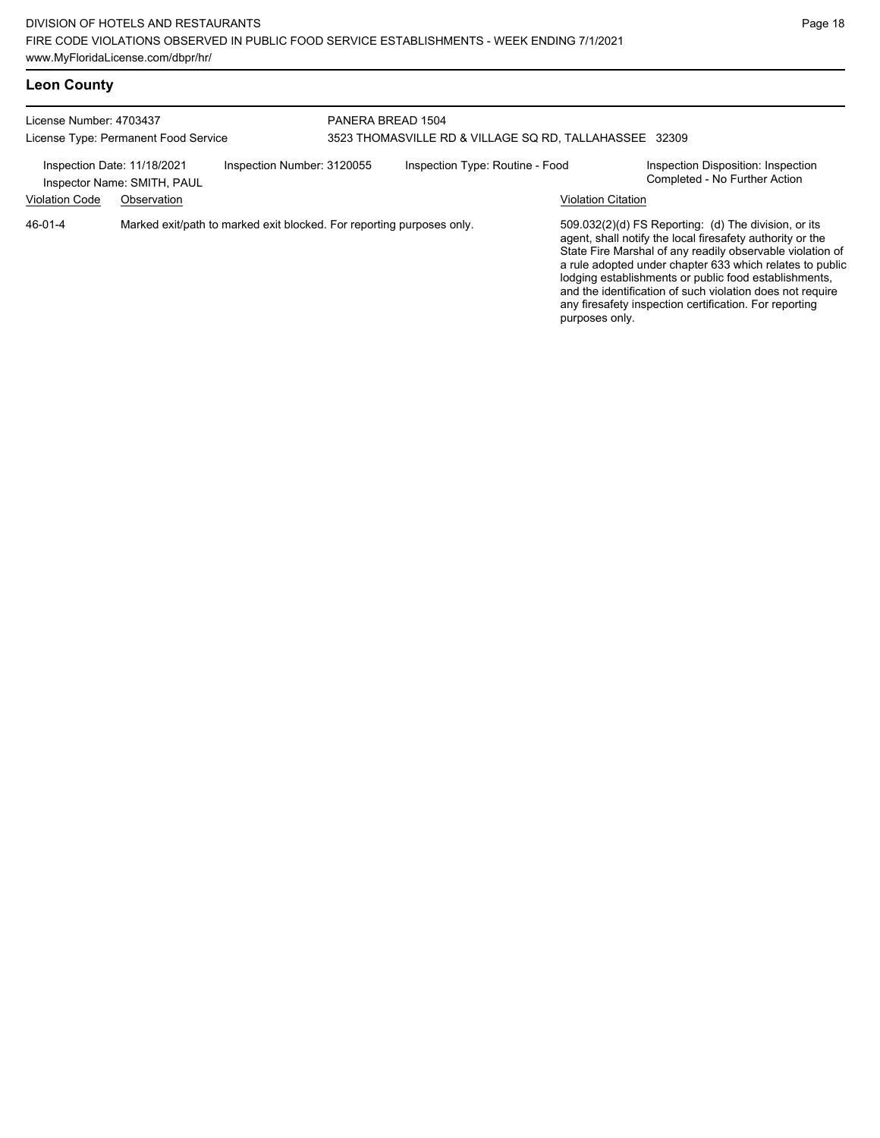# **Leon County**

| License Number: 4703437<br>License Type: Permanent Food Service |                                            |                                                                       | PANERA BREAD 1504<br>3523 THOMASVILLE RD & VILLAGE SQ RD, TALLAHASSEE 32309 |                                 |                           |                                                                                                                                                                                                                                                                                                                                                                                                                            |  |
|-----------------------------------------------------------------|--------------------------------------------|-----------------------------------------------------------------------|-----------------------------------------------------------------------------|---------------------------------|---------------------------|----------------------------------------------------------------------------------------------------------------------------------------------------------------------------------------------------------------------------------------------------------------------------------------------------------------------------------------------------------------------------------------------------------------------------|--|
| Inspection Date: 11/18/2021<br><b>Violation Code</b>            | Inspector Name: SMITH, PAUL<br>Observation | Inspection Number: 3120055                                            |                                                                             | Inspection Type: Routine - Food | <b>Violation Citation</b> | Inspection Disposition: Inspection<br>Completed - No Further Action                                                                                                                                                                                                                                                                                                                                                        |  |
| 46-01-4                                                         |                                            | Marked exit/path to marked exit blocked. For reporting purposes only. |                                                                             |                                 | purposes only.            | 509.032(2)(d) FS Reporting: (d) The division, or its<br>agent, shall notify the local firesafety authority or the<br>State Fire Marshal of any readily observable violation of<br>a rule adopted under chapter 633 which relates to public<br>lodging establishments or public food establishments,<br>and the identification of such violation does not require<br>any firesafety inspection certification. For reporting |  |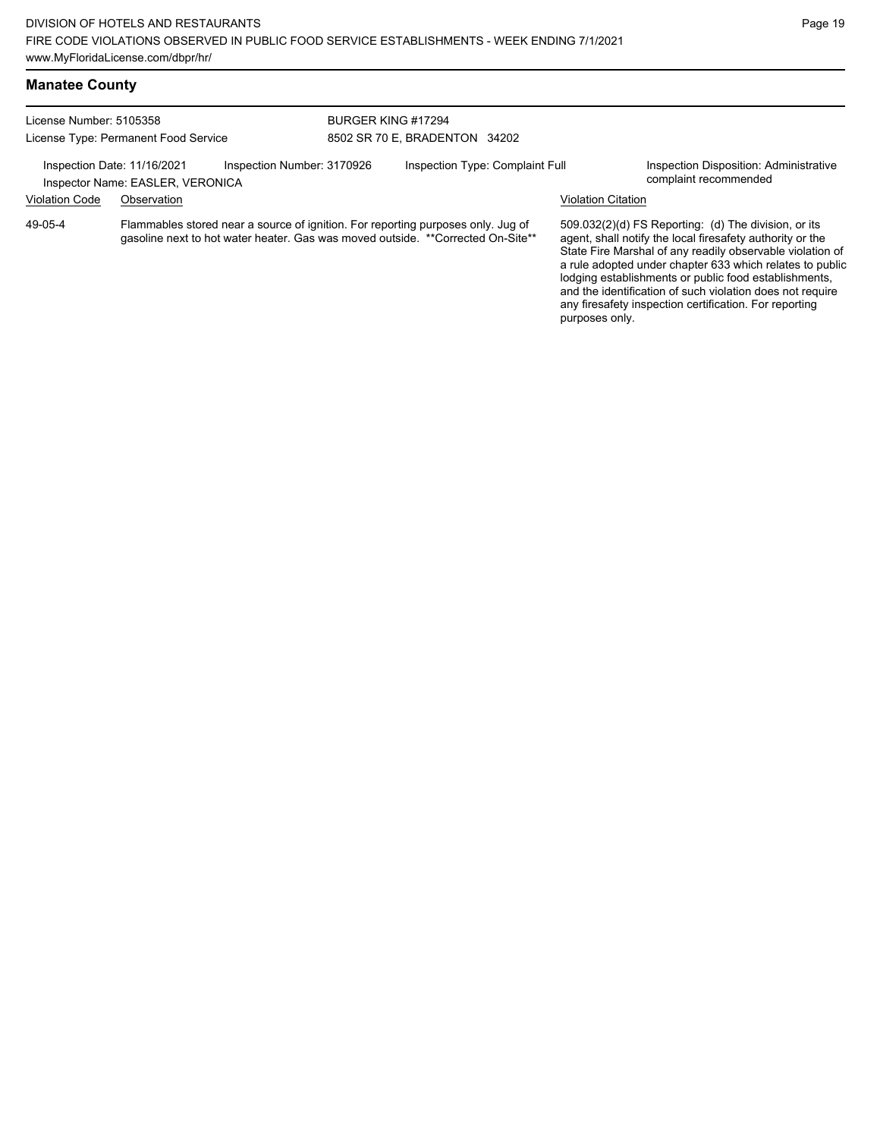any firesafety inspection certification. For reporting

purposes only.

#### **Manatee County**

| License Number: 5105358<br>License Type: Permanent Food Service |                                                                 | BURGER KING #17294         |                               |                                                                                                                                                                     |                    |                                                                                                                                                                                                                                                                                                                                                                  |  |
|-----------------------------------------------------------------|-----------------------------------------------------------------|----------------------------|-------------------------------|---------------------------------------------------------------------------------------------------------------------------------------------------------------------|--------------------|------------------------------------------------------------------------------------------------------------------------------------------------------------------------------------------------------------------------------------------------------------------------------------------------------------------------------------------------------------------|--|
|                                                                 |                                                                 |                            | 8502 SR 70 E, BRADENTON 34202 |                                                                                                                                                                     |                    |                                                                                                                                                                                                                                                                                                                                                                  |  |
|                                                                 | Inspection Date: 11/16/2021<br>Inspector Name: EASLER, VERONICA | Inspection Number: 3170926 |                               | Inspection Type: Complaint Full                                                                                                                                     |                    | Inspection Disposition: Administrative<br>complaint recommended                                                                                                                                                                                                                                                                                                  |  |
| <b>Violation Code</b>                                           | Observation                                                     |                            |                               |                                                                                                                                                                     | Violation Citation |                                                                                                                                                                                                                                                                                                                                                                  |  |
| 49-05-4                                                         |                                                                 |                            |                               | Flammables stored near a source of ignition. For reporting purposes only. Jug of<br>gasoline next to hot water heater. Gas was moved outside. **Corrected On-Site** |                    | 509.032(2)(d) FS Reporting: (d) The division, or its<br>agent, shall notify the local firesafety authority or the<br>State Fire Marshal of any readily observable violation of<br>a rule adopted under chapter 633 which relates to public<br>lodging establishments or public food establishments,<br>and the identification of such violation does not require |  |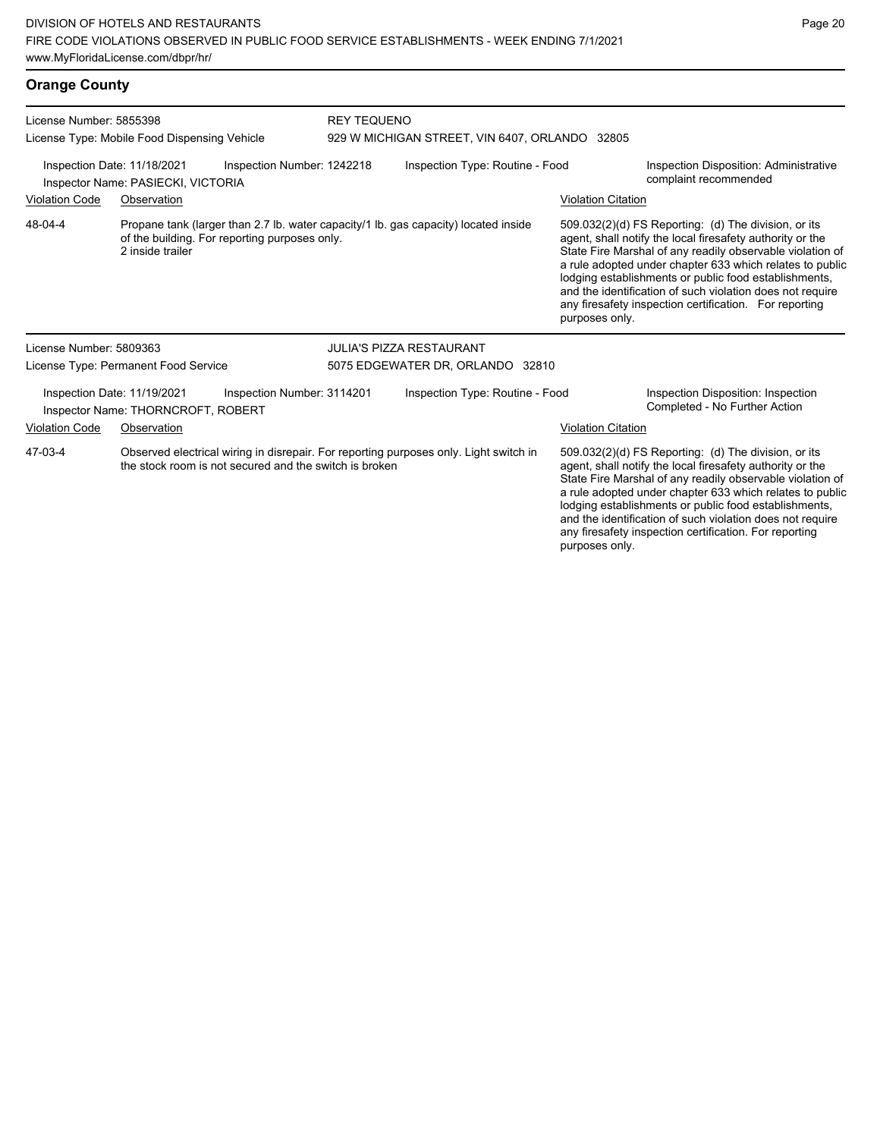## **Orange County**

| License Number: 5855398<br>License Type: Mobile Food Dispensing Vehicle                                                                                    |                                                                   |                                               | <b>REY TEQUENO</b><br>929 W MICHIGAN STREET, VIN 6407, ORLANDO 32805 |                                                                                     |                                                                                                                                                                                                                                                                                                                                                                  |                                                                                                                                                                                                                                                                                                                                                                                                                            |  |
|------------------------------------------------------------------------------------------------------------------------------------------------------------|-------------------------------------------------------------------|-----------------------------------------------|----------------------------------------------------------------------|-------------------------------------------------------------------------------------|------------------------------------------------------------------------------------------------------------------------------------------------------------------------------------------------------------------------------------------------------------------------------------------------------------------------------------------------------------------|----------------------------------------------------------------------------------------------------------------------------------------------------------------------------------------------------------------------------------------------------------------------------------------------------------------------------------------------------------------------------------------------------------------------------|--|
| Inspection Number: 1242218<br>Inspection Date: 11/18/2021<br>Inspector Name: PASIECKI, VICTORIA                                                            |                                                                   |                                               | Inspection Type: Routine - Food<br>complaint recommended             |                                                                                     |                                                                                                                                                                                                                                                                                                                                                                  | Inspection Disposition: Administrative                                                                                                                                                                                                                                                                                                                                                                                     |  |
| <b>Violation Code</b>                                                                                                                                      | Observation                                                       |                                               |                                                                      |                                                                                     | <b>Violation Citation</b>                                                                                                                                                                                                                                                                                                                                        |                                                                                                                                                                                                                                                                                                                                                                                                                            |  |
| 48-04-4                                                                                                                                                    | 2 inside trailer                                                  | of the building. For reporting purposes only. |                                                                      | Propane tank (larger than 2.7 lb. water capacity/1 lb. gas capacity) located inside | purposes only.                                                                                                                                                                                                                                                                                                                                                   | 509.032(2)(d) FS Reporting: (d) The division, or its<br>agent, shall notify the local firesafety authority or the<br>State Fire Marshal of any readily observable violation of<br>a rule adopted under chapter 633 which relates to public<br>lodging establishments or public food establishments,<br>and the identification of such violation does not require<br>any firesafety inspection certification. For reporting |  |
| License Number: 5809363                                                                                                                                    |                                                                   |                                               |                                                                      | JULIA'S PIZZA RESTAURANT                                                            |                                                                                                                                                                                                                                                                                                                                                                  |                                                                                                                                                                                                                                                                                                                                                                                                                            |  |
|                                                                                                                                                            | License Type: Permanent Food Service                              |                                               | 5075 EDGEWATER DR, ORLANDO 32810                                     |                                                                                     |                                                                                                                                                                                                                                                                                                                                                                  |                                                                                                                                                                                                                                                                                                                                                                                                                            |  |
|                                                                                                                                                            | Inspection Date: 11/19/2021<br>Inspector Name: THORNCROFT, ROBERT | Inspection Number: 3114201                    | Inspection Type: Routine - Food                                      |                                                                                     |                                                                                                                                                                                                                                                                                                                                                                  | Inspection Disposition: Inspection<br>Completed - No Further Action                                                                                                                                                                                                                                                                                                                                                        |  |
| <b>Violation Code</b>                                                                                                                                      | Observation                                                       |                                               |                                                                      |                                                                                     | <b>Violation Citation</b>                                                                                                                                                                                                                                                                                                                                        |                                                                                                                                                                                                                                                                                                                                                                                                                            |  |
| 47-03-4<br>Observed electrical wiring in disrepair. For reporting purposes only. Light switch in<br>the stock room is not secured and the switch is broken |                                                                   |                                               |                                                                      |                                                                                     | 509.032(2)(d) FS Reporting: (d) The division, or its<br>agent, shall notify the local firesafety authority or the<br>State Fire Marshal of any readily observable violation of<br>a rule adopted under chapter 633 which relates to public<br>lodging establishments or public food establishments,<br>and the identification of such violation does not require |                                                                                                                                                                                                                                                                                                                                                                                                                            |  |

any firesafety inspection certification. For reporting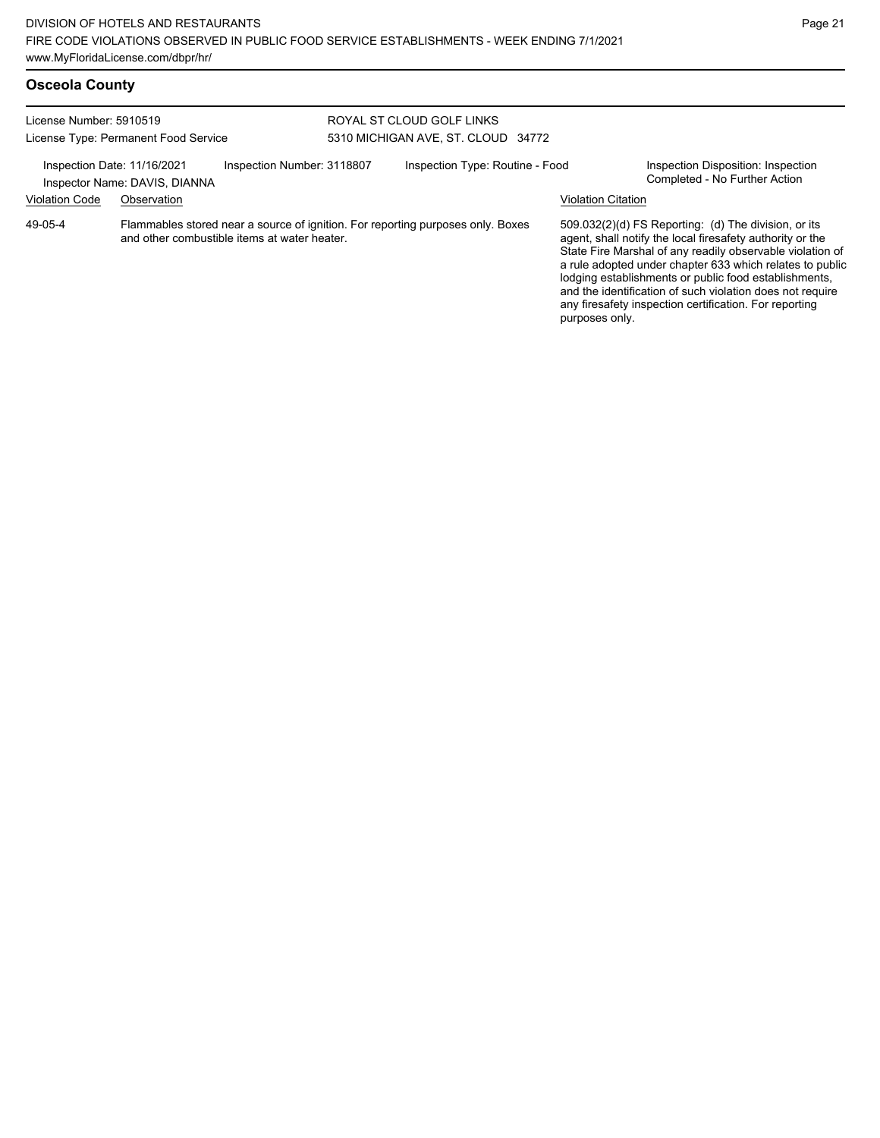| License Number: 5910519<br>License Type: Permanent Food Service                            |                                                                                                                                 |  | ROYAL ST CLOUD GOLF LINKS<br>5310 MICHIGAN AVE, ST. CLOUD 34772 |  |                                                                     |                                                                                                                                                                                                                                                                                                                                                                                                                            |  |
|--------------------------------------------------------------------------------------------|---------------------------------------------------------------------------------------------------------------------------------|--|-----------------------------------------------------------------|--|---------------------------------------------------------------------|----------------------------------------------------------------------------------------------------------------------------------------------------------------------------------------------------------------------------------------------------------------------------------------------------------------------------------------------------------------------------------------------------------------------------|--|
| Inspection Number: 3118807<br>Inspection Date: 11/16/2021<br>Inspector Name: DAVIS, DIANNA |                                                                                                                                 |  | Inspection Type: Routine - Food                                 |  | Inspection Disposition: Inspection<br>Completed - No Further Action |                                                                                                                                                                                                                                                                                                                                                                                                                            |  |
| <b>Violation Code</b>                                                                      | Observation                                                                                                                     |  |                                                                 |  | <b>Violation Citation</b>                                           |                                                                                                                                                                                                                                                                                                                                                                                                                            |  |
| 49-05-4                                                                                    | Flammables stored near a source of ignition. For reporting purposes only. Boxes<br>and other combustible items at water heater. |  |                                                                 |  |                                                                     | 509.032(2)(d) FS Reporting: (d) The division, or its<br>agent, shall notify the local firesafety authority or the<br>State Fire Marshal of any readily observable violation of<br>a rule adopted under chapter 633 which relates to public<br>lodging establishments or public food establishments,<br>and the identification of such violation does not require<br>any firesafety inspection certification. For reporting |  |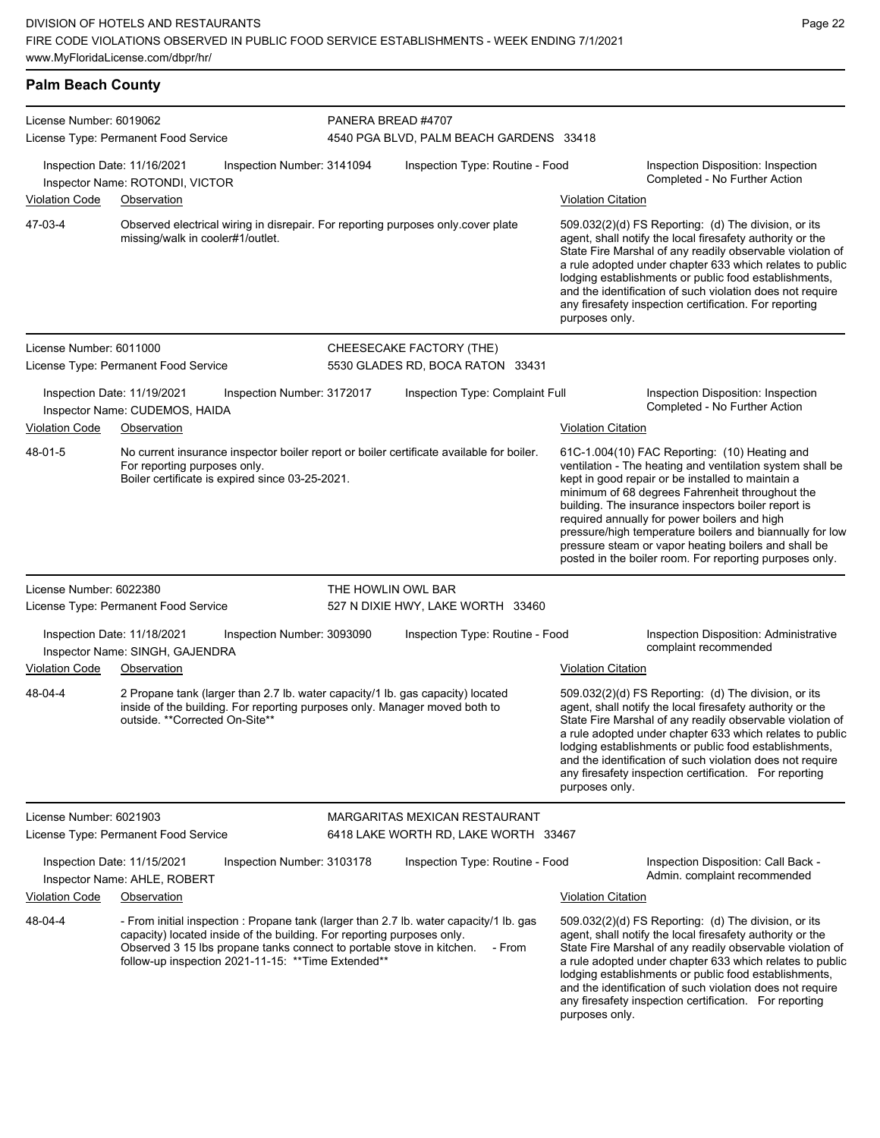| <b>Palm Beach County</b> |                                                                               |                                                                                                                                                                                                        |                    |                                                                                                  |                                                                                                                                                                                                                                                                                                                                                                                      |                                                                                                                                                                                                                                                                                                                                                                                                                                                                                                          |  |
|--------------------------|-------------------------------------------------------------------------------|--------------------------------------------------------------------------------------------------------------------------------------------------------------------------------------------------------|--------------------|--------------------------------------------------------------------------------------------------|--------------------------------------------------------------------------------------------------------------------------------------------------------------------------------------------------------------------------------------------------------------------------------------------------------------------------------------------------------------------------------------|----------------------------------------------------------------------------------------------------------------------------------------------------------------------------------------------------------------------------------------------------------------------------------------------------------------------------------------------------------------------------------------------------------------------------------------------------------------------------------------------------------|--|
| License Number: 6019062  |                                                                               |                                                                                                                                                                                                        | PANERA BREAD #4707 |                                                                                                  |                                                                                                                                                                                                                                                                                                                                                                                      |                                                                                                                                                                                                                                                                                                                                                                                                                                                                                                          |  |
|                          | License Type: Permanent Food Service                                          |                                                                                                                                                                                                        |                    | 4540 PGA BLVD, PALM BEACH GARDENS 33418                                                          |                                                                                                                                                                                                                                                                                                                                                                                      |                                                                                                                                                                                                                                                                                                                                                                                                                                                                                                          |  |
| Violation Code           | Inspection Date: 11/16/2021<br>Inspector Name: ROTONDI, VICTOR<br>Observation | Inspection Number: 3141094                                                                                                                                                                             |                    | Inspection Type: Routine - Food                                                                  | <b>Violation Citation</b>                                                                                                                                                                                                                                                                                                                                                            | Inspection Disposition: Inspection<br>Completed - No Further Action                                                                                                                                                                                                                                                                                                                                                                                                                                      |  |
| 47-03-4                  |                                                                               |                                                                                                                                                                                                        |                    | Observed electrical wiring in disrepair. For reporting purposes only cover plate                 |                                                                                                                                                                                                                                                                                                                                                                                      | 509.032(2)(d) FS Reporting: (d) The division, or its                                                                                                                                                                                                                                                                                                                                                                                                                                                     |  |
|                          | missing/walk in cooler#1/outlet.                                              |                                                                                                                                                                                                        |                    |                                                                                                  | agent, shall notify the local firesafety authority or the<br>State Fire Marshal of any readily observable violation of<br>a rule adopted under chapter 633 which relates to public<br>lodging establishments or public food establishments,<br>and the identification of such violation does not require<br>any firesafety inspection certification. For reporting<br>purposes only. |                                                                                                                                                                                                                                                                                                                                                                                                                                                                                                          |  |
| License Number: 6011000  | License Type: Permanent Food Service                                          |                                                                                                                                                                                                        |                    | CHEESECAKE FACTORY (THE)<br>5530 GLADES RD, BOCA RATON 33431                                     |                                                                                                                                                                                                                                                                                                                                                                                      |                                                                                                                                                                                                                                                                                                                                                                                                                                                                                                          |  |
|                          | Inspection Date: 11/19/2021<br>Inspector Name: CUDEMOS, HAIDA                 | Inspection Number: 3172017                                                                                                                                                                             |                    | Inspection Type: Complaint Full                                                                  |                                                                                                                                                                                                                                                                                                                                                                                      | Inspection Disposition: Inspection<br>Completed - No Further Action                                                                                                                                                                                                                                                                                                                                                                                                                                      |  |
| <b>Violation Code</b>    | Observation                                                                   |                                                                                                                                                                                                        |                    |                                                                                                  | <b>Violation Citation</b>                                                                                                                                                                                                                                                                                                                                                            |                                                                                                                                                                                                                                                                                                                                                                                                                                                                                                          |  |
| 48-01-5                  | For reporting purposes only.                                                  | Boiler certificate is expired since 03-25-2021.                                                                                                                                                        |                    | No current insurance inspector boiler report or boiler certificate available for boiler.         |                                                                                                                                                                                                                                                                                                                                                                                      | 61C-1.004(10) FAC Reporting: (10) Heating and<br>ventilation - The heating and ventilation system shall be<br>kept in good repair or be installed to maintain a<br>minimum of 68 degrees Fahrenheit throughout the<br>building. The insurance inspectors boiler report is<br>required annually for power boilers and high<br>pressure/high temperature boilers and biannually for low<br>pressure steam or vapor heating boilers and shall be<br>posted in the boiler room. For reporting purposes only. |  |
| License Number: 6022380  |                                                                               |                                                                                                                                                                                                        | THE HOWLIN OWL BAR |                                                                                                  |                                                                                                                                                                                                                                                                                                                                                                                      |                                                                                                                                                                                                                                                                                                                                                                                                                                                                                                          |  |
|                          | License Type: Permanent Food Service                                          |                                                                                                                                                                                                        |                    | 527 N DIXIE HWY, LAKE WORTH 33460                                                                |                                                                                                                                                                                                                                                                                                                                                                                      |                                                                                                                                                                                                                                                                                                                                                                                                                                                                                                          |  |
| <b>Violation Code</b>    | Inspection Date: 11/18/2021<br>Inspector Name: SINGH, GAJENDRA<br>Observation | Inspection Number: 3093090                                                                                                                                                                             |                    | Inspection Type: Routine - Food                                                                  | <b>Violation Citation</b>                                                                                                                                                                                                                                                                                                                                                            | Inspection Disposition: Administrative<br>complaint recommended                                                                                                                                                                                                                                                                                                                                                                                                                                          |  |
|                          |                                                                               |                                                                                                                                                                                                        |                    |                                                                                                  |                                                                                                                                                                                                                                                                                                                                                                                      |                                                                                                                                                                                                                                                                                                                                                                                                                                                                                                          |  |
| 48-04-4                  | outside. **Corrected On-Site**                                                | inside of the building. For reporting purposes only. Manager moved both to                                                                                                                             |                    | 2 Propane tank (larger than 2.7 lb. water capacity/1 lb. gas capacity) located                   | purposes only.                                                                                                                                                                                                                                                                                                                                                                       | 509.032(2)(d) FS Reporting: (d) The division, or its<br>agent, shall notify the local firesafety authority or the<br>State Fire Marshal of any readily observable violation of<br>a rule adopted under chapter 633 which relates to public<br>lodging establishments or public food establishments,<br>and the identification of such violation does not require<br>any firesafety inspection certification. For reporting                                                                               |  |
| License Number: 6021903  |                                                                               |                                                                                                                                                                                                        |                    | MARGARITAS MEXICAN RESTAURANT                                                                    |                                                                                                                                                                                                                                                                                                                                                                                      |                                                                                                                                                                                                                                                                                                                                                                                                                                                                                                          |  |
|                          | License Type: Permanent Food Service                                          |                                                                                                                                                                                                        |                    | 6418 LAKE WORTH RD, LAKE WORTH 33467                                                             |                                                                                                                                                                                                                                                                                                                                                                                      |                                                                                                                                                                                                                                                                                                                                                                                                                                                                                                          |  |
|                          | Inspection Date: 11/15/2021<br>Inspector Name: AHLE, ROBERT                   | Inspection Number: 3103178                                                                                                                                                                             |                    | Inspection Type: Routine - Food                                                                  |                                                                                                                                                                                                                                                                                                                                                                                      | Inspection Disposition: Call Back -<br>Admin. complaint recommended                                                                                                                                                                                                                                                                                                                                                                                                                                      |  |
| Violation Code           | Observation                                                                   |                                                                                                                                                                                                        |                    |                                                                                                  | <b>Violation Citation</b>                                                                                                                                                                                                                                                                                                                                                            |                                                                                                                                                                                                                                                                                                                                                                                                                                                                                                          |  |
| 48-04-4                  |                                                                               | capacity) located inside of the building. For reporting purposes only.<br>Observed 3 15 lbs propane tanks connect to portable stove in kitchen.<br>follow-up inspection 2021-11-15: ** Time Extended** |                    | - From initial inspection : Propane tank (larger than 2.7 lb. water capacity/1 lb. gas<br>- From | purposes only.                                                                                                                                                                                                                                                                                                                                                                       | 509.032(2)(d) FS Reporting: (d) The division, or its<br>agent, shall notify the local firesafety authority or the<br>State Fire Marshal of any readily observable violation of<br>a rule adopted under chapter 633 which relates to public<br>lodging establishments or public food establishments,<br>and the identification of such violation does not require<br>any firesafety inspection certification. For reporting                                                                               |  |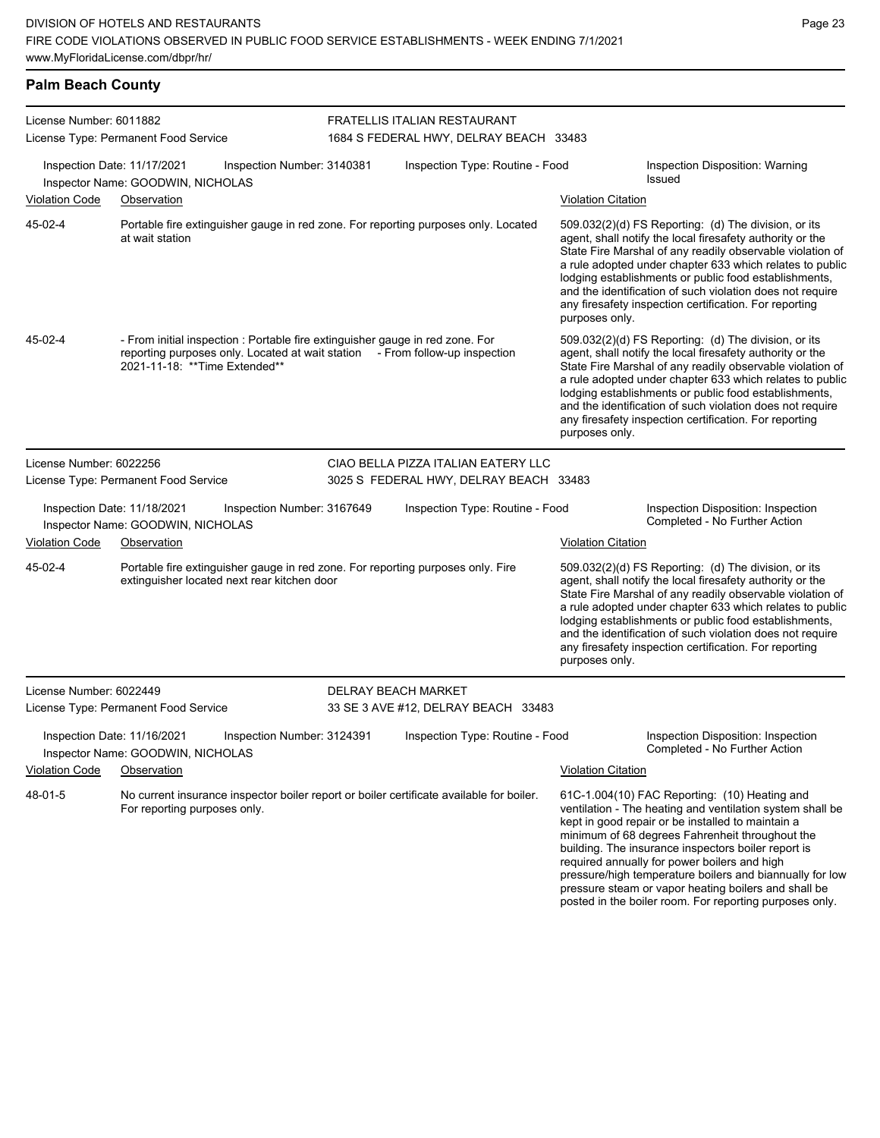posted in the boiler room. For reporting purposes only.

| <b>Palm Beach County</b>                                                                                                                                          |                                                                                                                                                                                                 |                            |                                                                                          |                                                                                                                                                                                                                                                                                                                                                                                                                                                |                                                                                                                                                                                                                                                                                                                                                                                                                                               |  |
|-------------------------------------------------------------------------------------------------------------------------------------------------------------------|-------------------------------------------------------------------------------------------------------------------------------------------------------------------------------------------------|----------------------------|------------------------------------------------------------------------------------------|------------------------------------------------------------------------------------------------------------------------------------------------------------------------------------------------------------------------------------------------------------------------------------------------------------------------------------------------------------------------------------------------------------------------------------------------|-----------------------------------------------------------------------------------------------------------------------------------------------------------------------------------------------------------------------------------------------------------------------------------------------------------------------------------------------------------------------------------------------------------------------------------------------|--|
| License Number: 6011882<br>License Type: Permanent Food Service<br>Inspection Date: 11/17/2021<br>Inspection Number: 3140381<br>Inspector Name: GOODWIN, NICHOLAS |                                                                                                                                                                                                 |                            | FRATELLIS ITALIAN RESTAURANT<br>1684 S FEDERAL HWY, DELRAY BEACH 33483                   |                                                                                                                                                                                                                                                                                                                                                                                                                                                |                                                                                                                                                                                                                                                                                                                                                                                                                                               |  |
|                                                                                                                                                                   |                                                                                                                                                                                                 |                            | Inspection Type: Routine - Food                                                          | Inspection Disposition: Warning<br><b>Issued</b>                                                                                                                                                                                                                                                                                                                                                                                               |                                                                                                                                                                                                                                                                                                                                                                                                                                               |  |
| <b>Violation Code</b>                                                                                                                                             | Observation                                                                                                                                                                                     |                            |                                                                                          | <b>Violation Citation</b>                                                                                                                                                                                                                                                                                                                                                                                                                      |                                                                                                                                                                                                                                                                                                                                                                                                                                               |  |
| 45-02-4                                                                                                                                                           | Portable fire extinguisher gauge in red zone. For reporting purposes only. Located<br>at wait station                                                                                           |                            |                                                                                          | purposes only.                                                                                                                                                                                                                                                                                                                                                                                                                                 | 509.032(2)(d) FS Reporting: (d) The division, or its<br>agent, shall notify the local firesafety authority or the<br>State Fire Marshal of any readily observable violation of<br>a rule adopted under chapter 633 which relates to public<br>lodging establishments or public food establishments,<br>and the identification of such violation does not require<br>any firesafety inspection certification. For reporting                    |  |
| 45-02-4                                                                                                                                                           | - From initial inspection : Portable fire extinguisher gauge in red zone. For<br>reporting purposes only. Located at wait station - From follow-up inspection<br>2021-11-18: ** Time Extended** |                            |                                                                                          | purposes only.                                                                                                                                                                                                                                                                                                                                                                                                                                 | 509.032(2)(d) FS Reporting: (d) The division, or its<br>agent, shall notify the local firesafety authority or the<br>State Fire Marshal of any readily observable violation of<br>a rule adopted under chapter 633 which relates to public<br>lodging establishments or public food establishments,<br>and the identification of such violation does not require<br>any firesafety inspection certification. For reporting                    |  |
| License Number: 6022256                                                                                                                                           |                                                                                                                                                                                                 |                            | CIAO BELLA PIZZA ITALIAN EATERY LLC                                                      |                                                                                                                                                                                                                                                                                                                                                                                                                                                |                                                                                                                                                                                                                                                                                                                                                                                                                                               |  |
|                                                                                                                                                                   | License Type: Permanent Food Service                                                                                                                                                            |                            | 3025 S FEDERAL HWY, DELRAY BEACH 33483                                                   |                                                                                                                                                                                                                                                                                                                                                                                                                                                |                                                                                                                                                                                                                                                                                                                                                                                                                                               |  |
|                                                                                                                                                                   | Inspection Date: 11/18/2021<br>Inspector Name: GOODWIN, NICHOLAS                                                                                                                                | Inspection Number: 3167649 | Inspection Type: Routine - Food                                                          |                                                                                                                                                                                                                                                                                                                                                                                                                                                | Inspection Disposition: Inspection<br>Completed - No Further Action                                                                                                                                                                                                                                                                                                                                                                           |  |
| <b>Violation Code</b>                                                                                                                                             | Observation                                                                                                                                                                                     |                            |                                                                                          | <b>Violation Citation</b>                                                                                                                                                                                                                                                                                                                                                                                                                      |                                                                                                                                                                                                                                                                                                                                                                                                                                               |  |
| 45-02-4                                                                                                                                                           | Portable fire extinguisher gauge in red zone. For reporting purposes only. Fire<br>extinguisher located next rear kitchen door                                                                  |                            |                                                                                          | $509.032(2)(d)$ FS Reporting: (d) The division, or its<br>agent, shall notify the local firesafety authority or the<br>State Fire Marshal of any readily observable violation of<br>a rule adopted under chapter 633 which relates to public<br>lodging establishments or public food establishments,<br>and the identification of such violation does not require<br>any firesafety inspection certification. For reporting<br>purposes only. |                                                                                                                                                                                                                                                                                                                                                                                                                                               |  |
| License Number: 6022449                                                                                                                                           |                                                                                                                                                                                                 |                            | <b>DELRAY BEACH MARKET</b>                                                               |                                                                                                                                                                                                                                                                                                                                                                                                                                                |                                                                                                                                                                                                                                                                                                                                                                                                                                               |  |
|                                                                                                                                                                   | License Type: Permanent Food Service                                                                                                                                                            |                            | 33 SE 3 AVE #12, DELRAY BEACH 33483                                                      |                                                                                                                                                                                                                                                                                                                                                                                                                                                |                                                                                                                                                                                                                                                                                                                                                                                                                                               |  |
| Inspection Date: 11/16/2021<br>Inspection Number: 3124391<br>Inspector Name: GOODWIN, NICHOLAS                                                                    |                                                                                                                                                                                                 |                            | Inspection Type: Routine - Food                                                          |                                                                                                                                                                                                                                                                                                                                                                                                                                                | Inspection Disposition: Inspection<br>Completed - No Further Action                                                                                                                                                                                                                                                                                                                                                                           |  |
| <b>Violation Code</b>                                                                                                                                             | Observation                                                                                                                                                                                     |                            |                                                                                          | <b>Violation Citation</b>                                                                                                                                                                                                                                                                                                                                                                                                                      |                                                                                                                                                                                                                                                                                                                                                                                                                                               |  |
| 48-01-5<br>For reporting purposes only.                                                                                                                           |                                                                                                                                                                                                 |                            | No current insurance inspector boiler report or boiler certificate available for boiler. |                                                                                                                                                                                                                                                                                                                                                                                                                                                | 61C-1.004(10) FAC Reporting: (10) Heating and<br>ventilation - The heating and ventilation system shall be<br>kept in good repair or be installed to maintain a<br>minimum of 68 degrees Fahrenheit throughout the<br>building. The insurance inspectors boiler report is<br>required annually for power boilers and high<br>pressure/high temperature boilers and biannually for low<br>pressure steam or vapor heating boilers and shall be |  |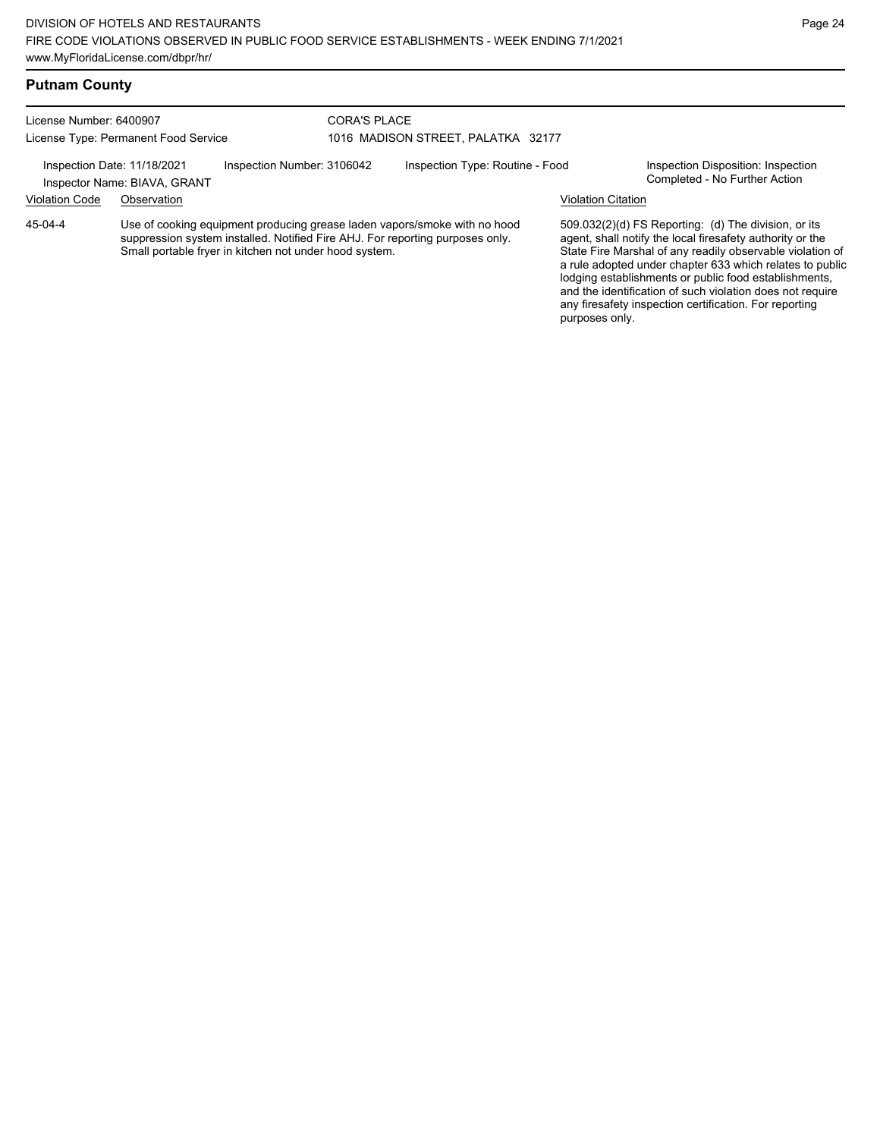#### **Putnam County**

License Number: 6400907 License Type: Permanent Food Service

#### CORA'S PLACE 1016 MADISON STREET, PALATKA 32177

Inspection Date: 11/18/2021 Inspection Number: 3106042 Inspection Type: Routine - Food Inspection Disposition: Inspection<br>Inspector Name: BIAVA GRANT

Inspector Name: BIAVA, GRANT

Violation Code Observation Violation Citation

Use of cooking equipment producing grease laden vapors/smoke with no hood suppression system installed. Notified Fire AHJ. For reporting purposes only. Small portable fryer in kitchen not under hood system. 45-04-4

509.032(2)(d) FS Reporting: (d) The division, or its agent, shall notify the local firesafety authority or the State Fire Marshal of any readily observable violation of a rule adopted under chapter 633 which relates to public lodging establishments or public food establishments, and the identification of such violation does not require any firesafety inspection certification. For reporting purposes only.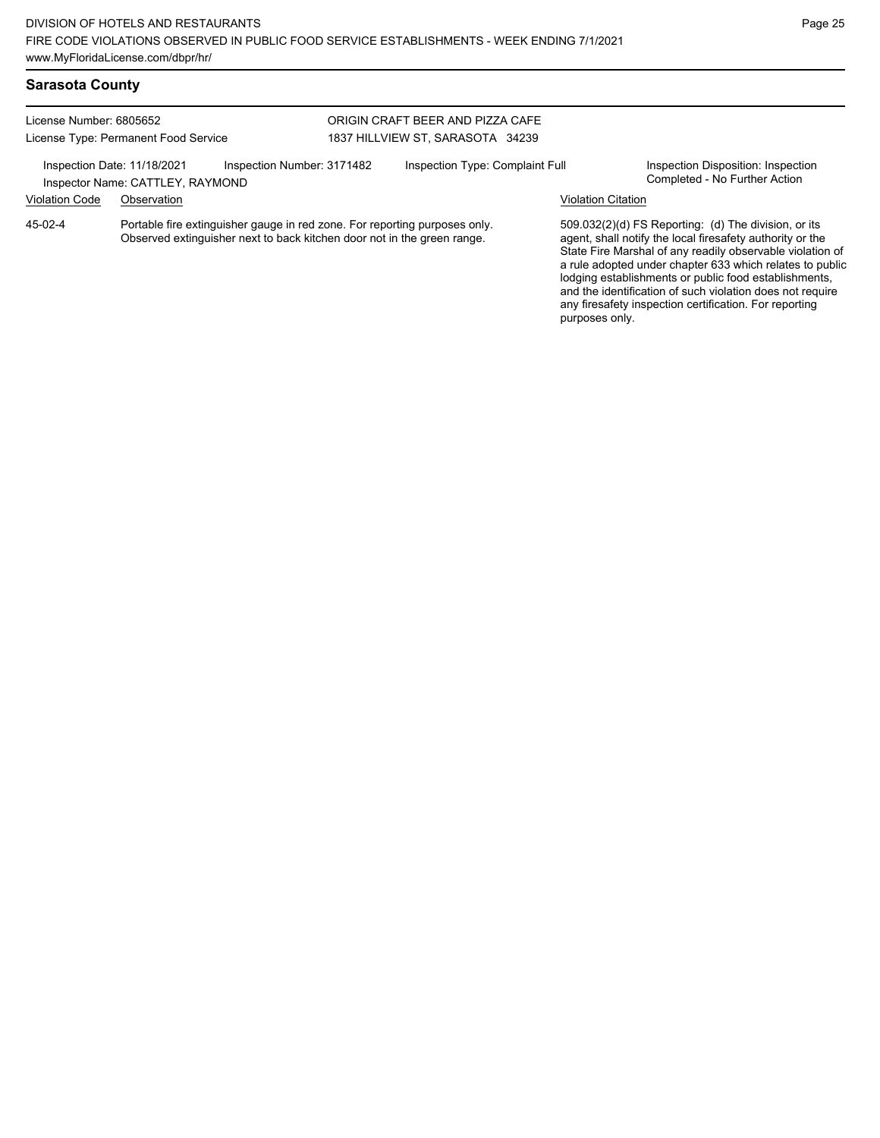and the identification of such violation does not require any firesafety inspection certification. For reporting

purposes only.

## **Sarasota County**

| License Number: 6805652<br>License Type: Permanent Food Service |                                                                 | ORIGIN CRAFT BEER AND PIZZA CAFE<br>1837 HILLVIEW ST, SARASOTA 34239                                                                                  |  |                                 |                           |                                                                                                                                                                                                                                                                                                     |
|-----------------------------------------------------------------|-----------------------------------------------------------------|-------------------------------------------------------------------------------------------------------------------------------------------------------|--|---------------------------------|---------------------------|-----------------------------------------------------------------------------------------------------------------------------------------------------------------------------------------------------------------------------------------------------------------------------------------------------|
|                                                                 | Inspection Date: 11/18/2021<br>Inspector Name: CATTLEY, RAYMOND | Inspection Number: 3171482                                                                                                                            |  | Inspection Type: Complaint Full |                           | Inspection Disposition: Inspection<br>Completed - No Further Action                                                                                                                                                                                                                                 |
| <b>Violation Code</b>                                           | Observation                                                     |                                                                                                                                                       |  |                                 | <b>Violation Citation</b> |                                                                                                                                                                                                                                                                                                     |
| 45-02-4                                                         |                                                                 | Portable fire extinguisher gauge in red zone. For reporting purposes only.<br>Observed extinguisher next to back kitchen door not in the green range. |  |                                 |                           | 509.032(2)(d) FS Reporting: (d) The division, or its<br>agent, shall notify the local firesafety authority or the<br>State Fire Marshal of any readily observable violation of<br>a rule adopted under chapter 633 which relates to public<br>lodging establishments or public food establishments, |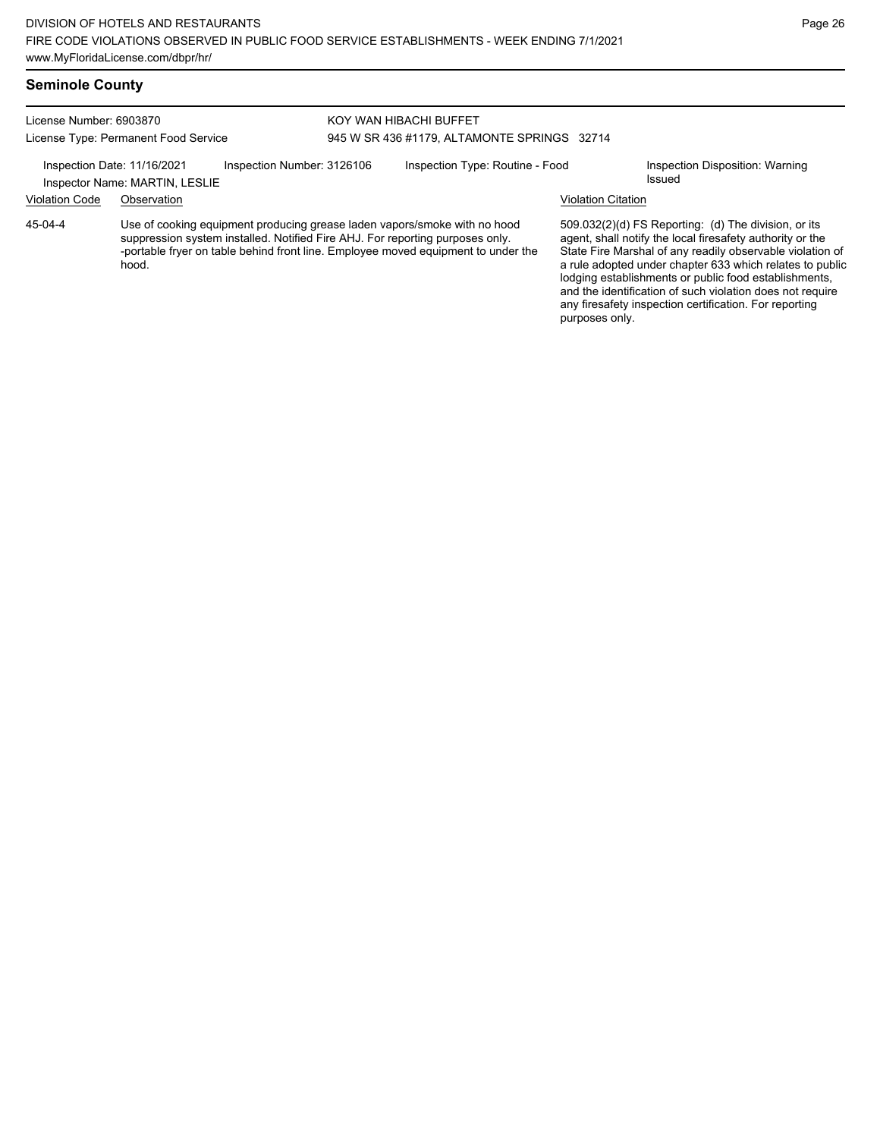License Number: 6903870

#### KOY WAN HIBACHI BUFFET 945 W SR 436 #1179, ALTAMONTE SPRINGS 32714

Inspection Date: 11/16/2021 Inspection Number: 3126106 Inspection Type: Routine - Food Inspection Disposition: Warning

Inspector Name: MARTIN, LESLIE

License Type: Permanent Food Service

Violation Code Observation Violation Citation

Use of cooking equipment producing grease laden vapors/smoke with no hood suppression system installed. Notified Fire AHJ. For reporting purposes only. -portable fryer on table behind front line. Employee moved equipment to under the hood. 45-04-4

509.032(2)(d) FS Reporting: (d) The division, or its agent, shall notify the local firesafety authority or the State Fire Marshal of any readily observable violation of a rule adopted under chapter 633 which relates to public lodging establishments or public food establishments, and the identification of such violation does not require any firesafety inspection certification. For reporting purposes only.